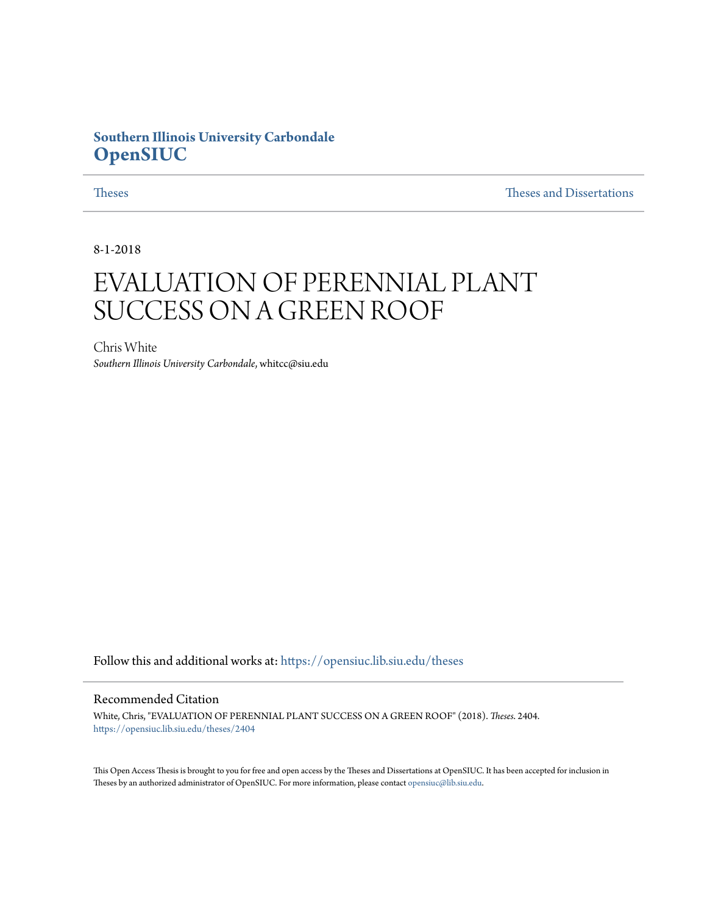# **Southern Illinois University Carbondale [OpenSIUC](https://opensiuc.lib.siu.edu?utm_source=opensiuc.lib.siu.edu%2Ftheses%2F2404&utm_medium=PDF&utm_campaign=PDFCoverPages)**

[Theses](https://opensiuc.lib.siu.edu/theses?utm_source=opensiuc.lib.siu.edu%2Ftheses%2F2404&utm_medium=PDF&utm_campaign=PDFCoverPages) and Dissertations and [Theses and Dissertations](https://opensiuc.lib.siu.edu/etd?utm_source=opensiuc.lib.siu.edu%2Ftheses%2F2404&utm_medium=PDF&utm_campaign=PDFCoverPages) and Theses and Dissertations and Theses and Dissertations and  $\Gamma$ 

8-1-2018

# EVALUATION OF PERENNIAL PLANT SUCCESS ON A GREEN ROOF

Chris White *Southern Illinois University Carbondale*, whitcc@siu.edu

Follow this and additional works at: [https://opensiuc.lib.siu.edu/theses](https://opensiuc.lib.siu.edu/theses?utm_source=opensiuc.lib.siu.edu%2Ftheses%2F2404&utm_medium=PDF&utm_campaign=PDFCoverPages)

#### Recommended Citation

White, Chris, "EVALUATION OF PERENNIAL PLANT SUCCESS ON A GREEN ROOF" (2018). *Theses*. 2404. [https://opensiuc.lib.siu.edu/theses/2404](https://opensiuc.lib.siu.edu/theses/2404?utm_source=opensiuc.lib.siu.edu%2Ftheses%2F2404&utm_medium=PDF&utm_campaign=PDFCoverPages)

This Open Access Thesis is brought to you for free and open access by the Theses and Dissertations at OpenSIUC. It has been accepted for inclusion in Theses by an authorized administrator of OpenSIUC. For more information, please contact [opensiuc@lib.siu.edu](mailto:opensiuc@lib.siu.edu).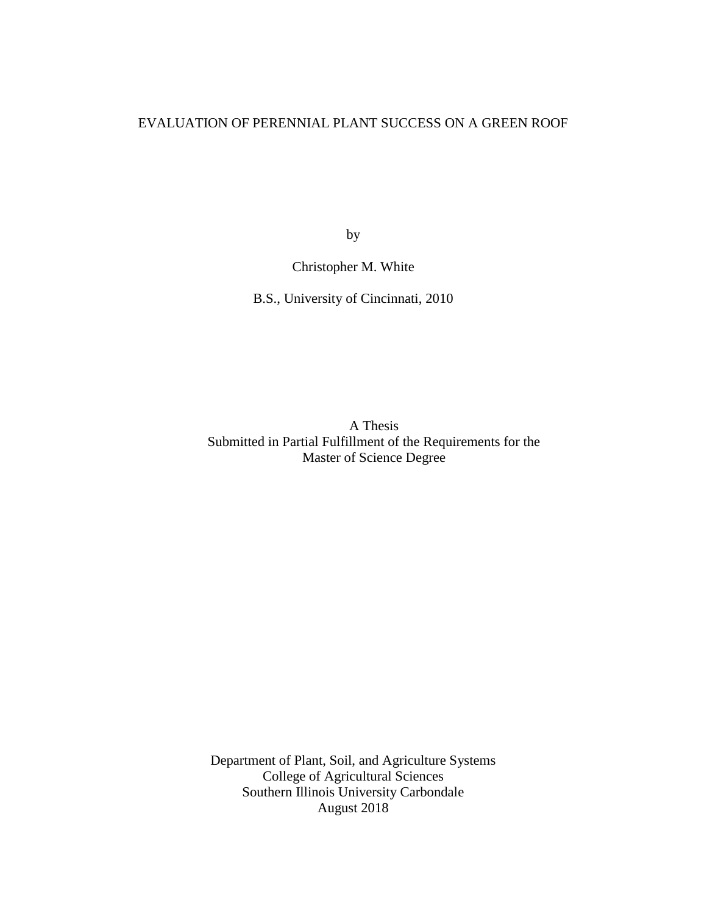# EVALUATION OF PERENNIAL PLANT SUCCESS ON A GREEN ROOF

by

# Christopher M. White

B.S., University of Cincinnati, 2010

A Thesis Submitted in Partial Fulfillment of the Requirements for the Master of Science Degree

Department of Plant, Soil, and Agriculture Systems College of Agricultural Sciences Southern Illinois University Carbondale August 2018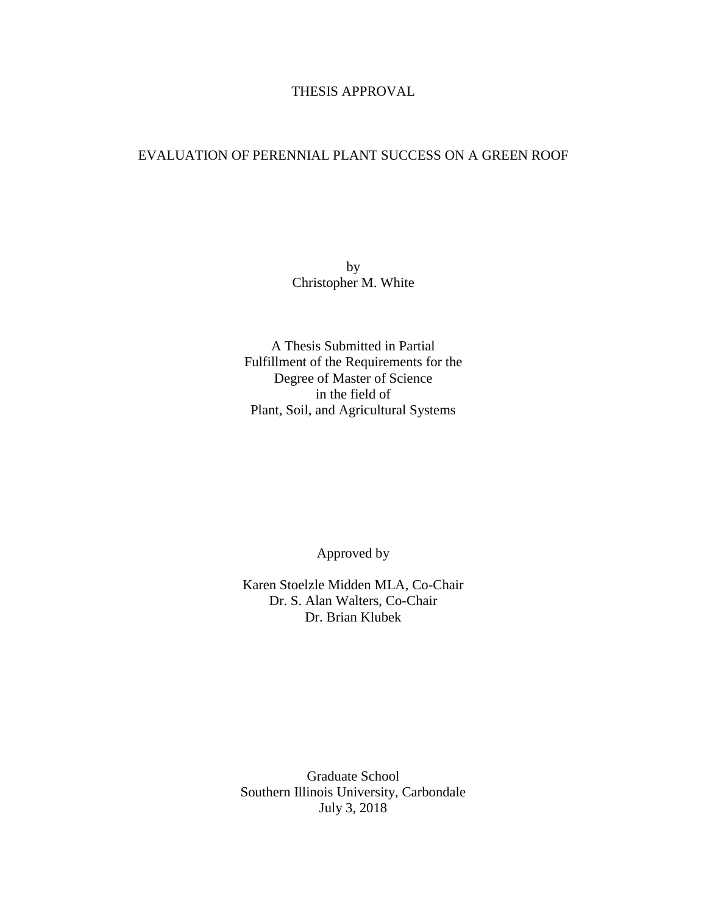# THESIS APPROVAL

# EVALUATION OF PERENNIAL PLANT SUCCESS ON A GREEN ROOF

by Christopher M. White

A Thesis Submitted in Partial Fulfillment of the Requirements for the Degree of Master of Science in the field of Plant, Soil, and Agricultural Systems

Approved by

Karen Stoelzle Midden MLA, Co-Chair Dr. S. Alan Walters, Co-Chair Dr. Brian Klubek

Graduate School Southern Illinois University, Carbondale July 3, 2018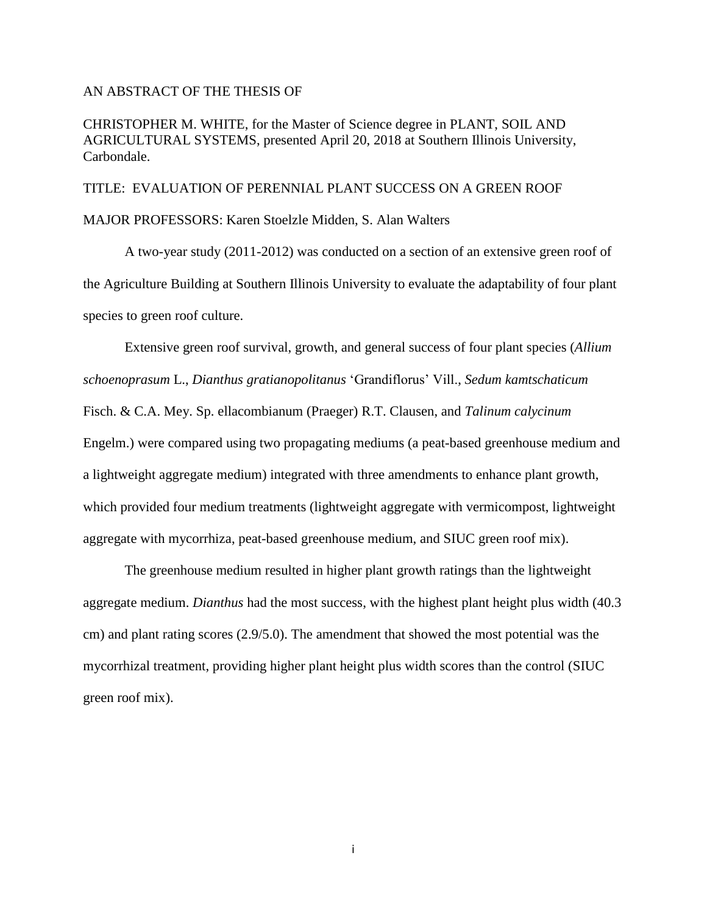#### AN ABSTRACT OF THE THESIS OF

CHRISTOPHER M. WHITE, for the Master of Science degree in PLANT, SOIL AND AGRICULTURAL SYSTEMS, presented April 20, 2018 at Southern Illinois University, Carbondale.

TITLE: EVALUATION OF PERENNIAL PLANT SUCCESS ON A GREEN ROOF MAJOR PROFESSORS: Karen Stoelzle Midden, S. Alan Walters

A two-year study (2011-2012) was conducted on a section of an extensive green roof of the Agriculture Building at Southern Illinois University to evaluate the adaptability of four plant species to green roof culture.

Extensive green roof survival, growth, and general success of four plant species (*Allium schoenoprasum* L., *Dianthus gratianopolitanus* 'Grandiflorus' Vill., *Sedum kamtschaticum* Fisch. & C.A. Mey. Sp. ellacombianum (Praeger) R.T. Clausen, and *Talinum calycinum* Engelm.) were compared using two propagating mediums (a peat-based greenhouse medium and a lightweight aggregate medium) integrated with three amendments to enhance plant growth, which provided four medium treatments (lightweight aggregate with vermicompost, lightweight aggregate with mycorrhiza, peat-based greenhouse medium, and SIUC green roof mix).

The greenhouse medium resulted in higher plant growth ratings than the lightweight aggregate medium. *Dianthus* had the most success, with the highest plant height plus width (40.3 cm) and plant rating scores (2.9/5.0). The amendment that showed the most potential was the mycorrhizal treatment, providing higher plant height plus width scores than the control (SIUC green roof mix).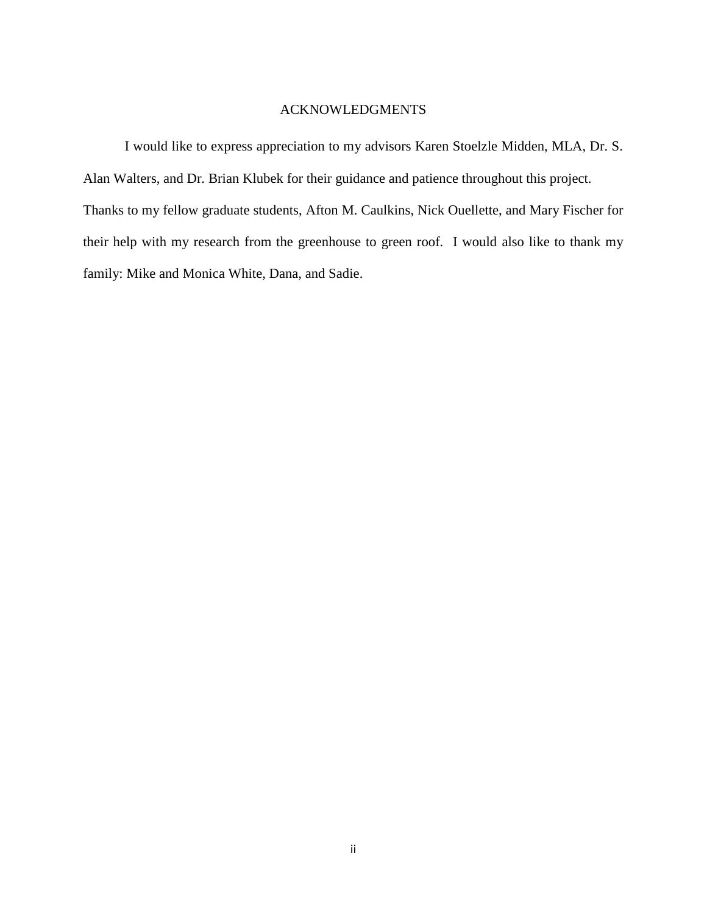## ACKNOWLEDGMENTS

I would like to express appreciation to my advisors Karen Stoelzle Midden, MLA, Dr. S. Alan Walters, and Dr. Brian Klubek for their guidance and patience throughout this project. Thanks to my fellow graduate students, Afton M. Caulkins, Nick Ouellette, and Mary Fischer for their help with my research from the greenhouse to green roof. I would also like to thank my family: Mike and Monica White, Dana, and Sadie.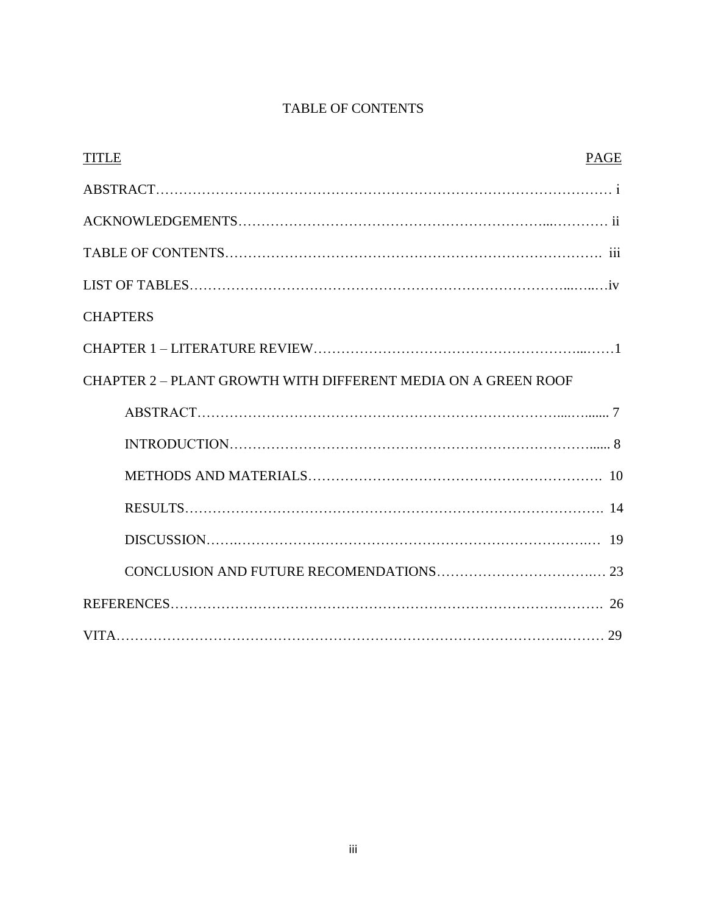# TABLE OF CONTENTS

| <b>TITLE</b>                                                  | <b>PAGE</b> |
|---------------------------------------------------------------|-------------|
|                                                               |             |
|                                                               |             |
|                                                               |             |
|                                                               |             |
| <b>CHAPTERS</b>                                               |             |
|                                                               |             |
| CHAPTER 2 - PLANT GROWTH WITH DIFFERENT MEDIA ON A GREEN ROOF |             |
|                                                               |             |
|                                                               |             |
|                                                               |             |
|                                                               |             |
|                                                               |             |
|                                                               |             |
|                                                               |             |
|                                                               |             |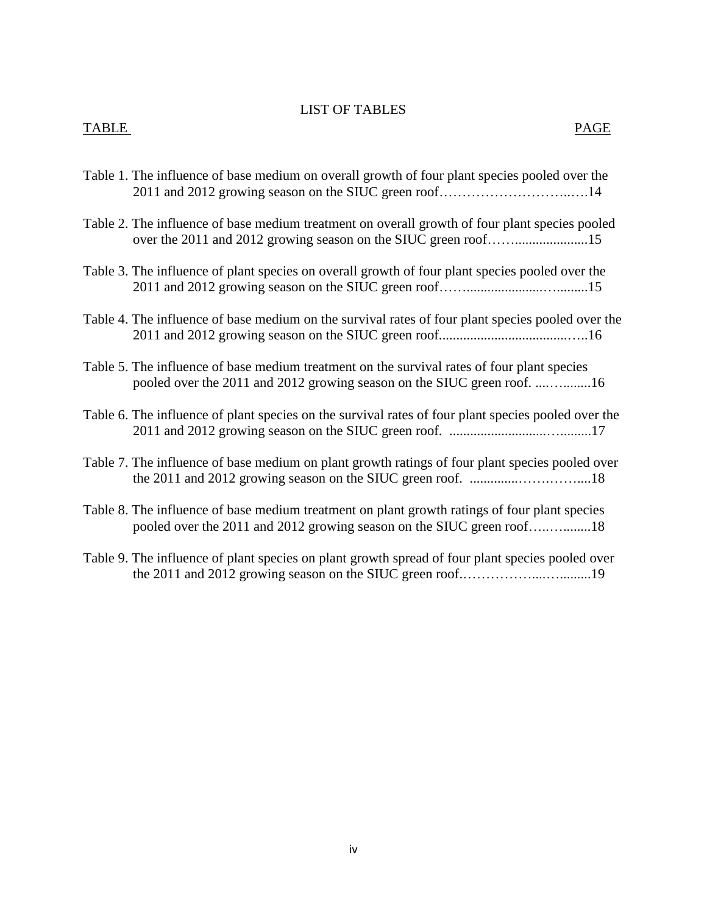### LIST OF TABLES

# TABLE PAGE

- Table 1. The influence of base medium on overall growth of four plant species pooled over the 2011 and 2012 growing season on the SIUC green roof………………………..….14
- Table 2. The influence of base medium treatment on overall growth of four plant species pooled over the 2011 and 2012 growing season on the SIUC green roof…….....................15
- Table 3. The influence of plant species on overall growth of four plant species pooled over the 2011 and 2012 growing season on the SIUC green roof……......................….........15
- Table 4. The influence of base medium on the survival rates of four plant species pooled over the 2011 and 2012 growing season on the SIUC green roof.....................................…..16
- Table 5. The influence of base medium treatment on the survival rates of four plant species pooled over the 2011 and 2012 growing season on the SIUC green roof. ....…........16
- Table 6. The influence of plant species on the survival rates of four plant species pooled over the 2011 and 2012 growing season on the SIUC green roof. ............................….........17
- Table 7. The influence of base medium on plant growth ratings of four plant species pooled over the 2011 and 2012 growing season on the SIUC green roof. ..............…….……....18
- Table 8. The influence of base medium treatment on plant growth ratings of four plant species pooled over the 2011 and 2012 growing season on the SIUC green roof…..…........18
- Table 9. The influence of plant species on plant growth spread of four plant species pooled over the 2011 and 2012 growing season on the SIUC green roof.……………....….........19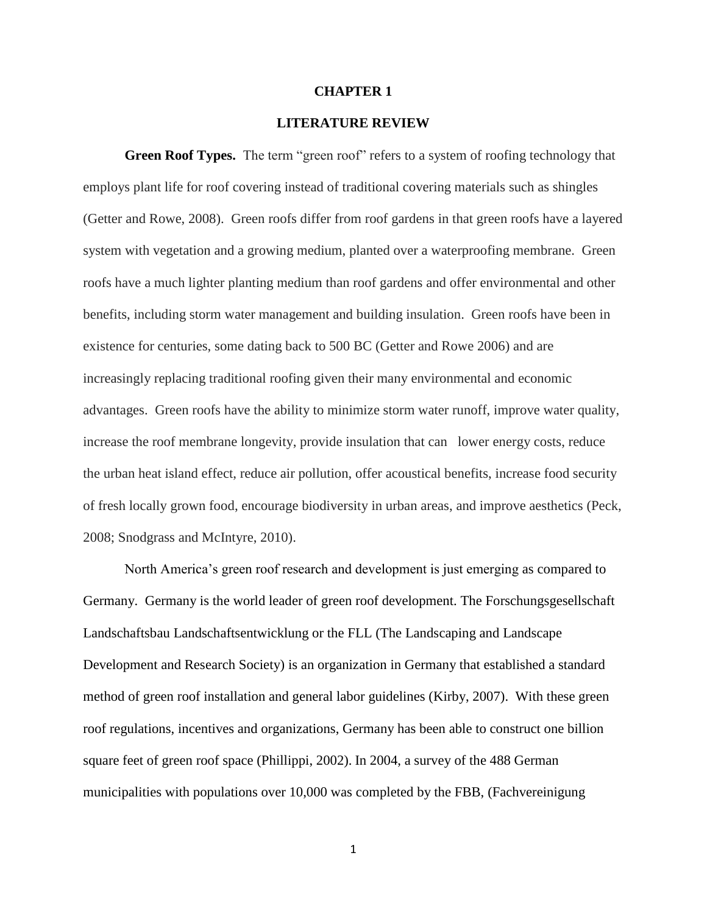#### **CHAPTER 1**

#### **LITERATURE REVIEW**

**Green Roof Types.** The term "green roof" refers to a system of roofing technology that employs plant life for roof covering instead of traditional covering materials such as shingles (Getter and Rowe, 2008). Green roofs differ from roof gardens in that green roofs have a layered system with vegetation and a growing medium, planted over a waterproofing membrane. Green roofs have a much lighter planting medium than roof gardens and offer environmental and other benefits, including storm water management and building insulation. Green roofs have been in existence for centuries, some dating back to 500 BC (Getter and Rowe 2006) and are increasingly replacing traditional roofing given their many environmental and economic advantages. Green roofs have the ability to minimize storm water runoff, improve water quality, increase the roof membrane longevity, provide insulation that can lower energy costs, reduce the urban heat island effect, reduce air pollution, offer acoustical benefits, increase food security of fresh locally grown food, encourage biodiversity in urban areas, and improve aesthetics (Peck, 2008; Snodgrass and McIntyre, 2010).

North America's green roof research and development is just emerging as compared to Germany. Germany is the world leader of green roof development. The Forschungsgesellschaft Landschaftsbau Landschaftsentwicklung or the FLL (The Landscaping and Landscape Development and Research Society) is an organization in Germany that established a standard method of green roof installation and general labor guidelines (Kirby, 2007). With these green roof regulations, incentives and organizations, Germany has been able to construct one billion square feet of green roof space (Phillippi, 2002). In 2004, a survey of the 488 German municipalities with populations over 10,000 was completed by the FBB, (Fachvereinigung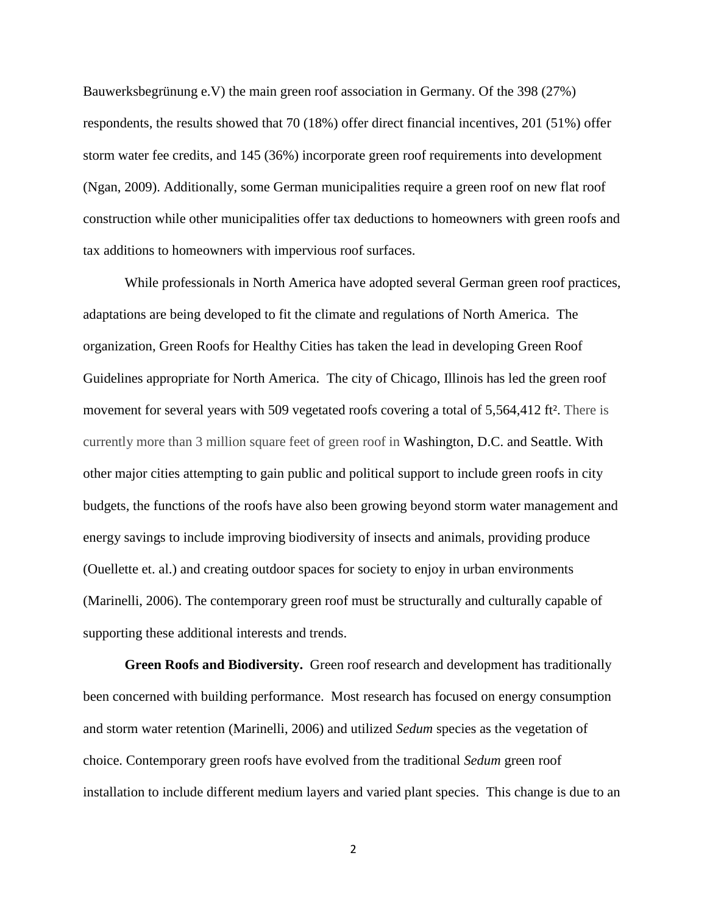Bauwerksbegrünung e.V) the main green roof association in Germany. Of the 398 (27%) respondents, the results showed that 70 (18%) offer direct financial incentives, 201 (51%) offer storm water fee credits, and 145 (36%) incorporate green roof requirements into development (Ngan, 2009). Additionally, some German municipalities require a green roof on new flat roof construction while other municipalities offer tax deductions to homeowners with green roofs and tax additions to homeowners with impervious roof surfaces.

While professionals in North America have adopted several German green roof practices, adaptations are being developed to fit the climate and regulations of North America. The organization, Green Roofs for Healthy Cities has taken the lead in developing Green Roof Guidelines appropriate for North America. The city of Chicago, Illinois has led the green roof movement for several years with 509 vegetated roofs covering a total of 5,564,412 ft². There is currently more than 3 million square feet of green roof in Washington, D.C. and Seattle. With other major cities attempting to gain public and political support to include green roofs in city budgets, the functions of the roofs have also been growing beyond storm water management and energy savings to include improving biodiversity of insects and animals, providing produce (Ouellette et. al.) and creating outdoor spaces for society to enjoy in urban environments (Marinelli, 2006). The contemporary green roof must be structurally and culturally capable of supporting these additional interests and trends.

**Green Roofs and Biodiversity.** Green roof research and development has traditionally been concerned with building performance. Most research has focused on energy consumption and storm water retention (Marinelli, 2006) and utilized *Sedum* species as the vegetation of choice. Contemporary green roofs have evolved from the traditional *Sedum* green roof installation to include different medium layers and varied plant species. This change is due to an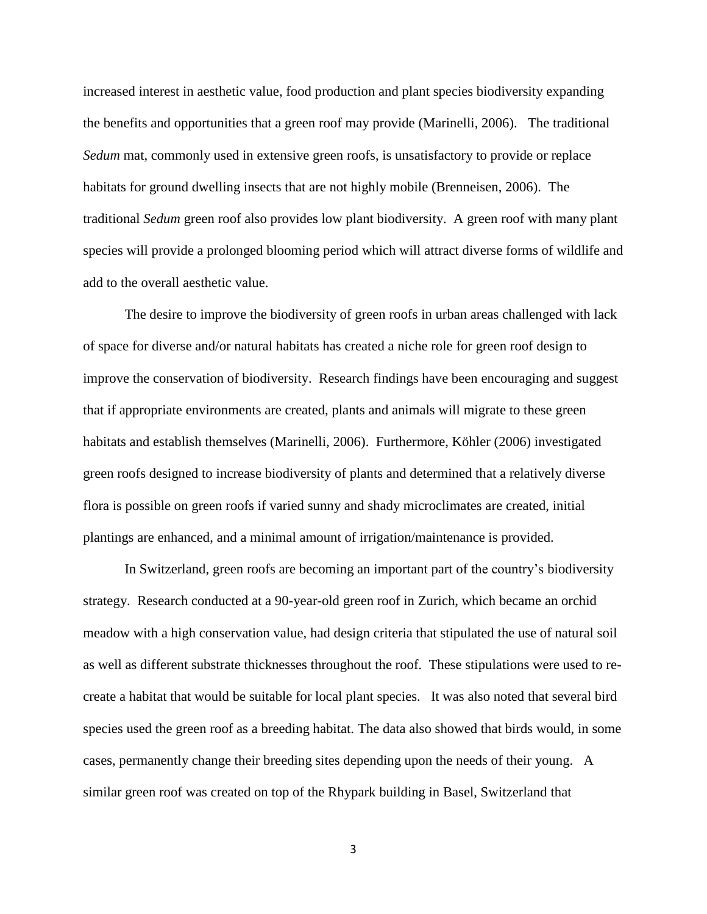increased interest in aesthetic value, food production and plant species biodiversity expanding the benefits and opportunities that a green roof may provide (Marinelli, 2006). The traditional *Sedum* mat, commonly used in extensive green roofs, is unsatisfactory to provide or replace habitats for ground dwelling insects that are not highly mobile (Brenneisen, 2006). The traditional *Sedum* green roof also provides low plant biodiversity. A green roof with many plant species will provide a prolonged blooming period which will attract diverse forms of wildlife and add to the overall aesthetic value.

The desire to improve the biodiversity of green roofs in urban areas challenged with lack of space for diverse and/or natural habitats has created a niche role for green roof design to improve the conservation of biodiversity. Research findings have been encouraging and suggest that if appropriate environments are created, plants and animals will migrate to these green habitats and establish themselves (Marinelli, 2006). Furthermore, Köhler (2006) investigated green roofs designed to increase biodiversity of plants and determined that a relatively diverse flora is possible on green roofs if varied sunny and shady microclimates are created, initial plantings are enhanced, and a minimal amount of irrigation/maintenance is provided.

In Switzerland, green roofs are becoming an important part of the country's biodiversity strategy. Research conducted at a 90-year-old green roof in Zurich, which became an orchid meadow with a high conservation value, had design criteria that stipulated the use of natural soil as well as different substrate thicknesses throughout the roof. These stipulations were used to recreate a habitat that would be suitable for local plant species. It was also noted that several bird species used the green roof as a breeding habitat. The data also showed that birds would, in some cases, permanently change their breeding sites depending upon the needs of their young. A similar green roof was created on top of the Rhypark building in Basel, Switzerland that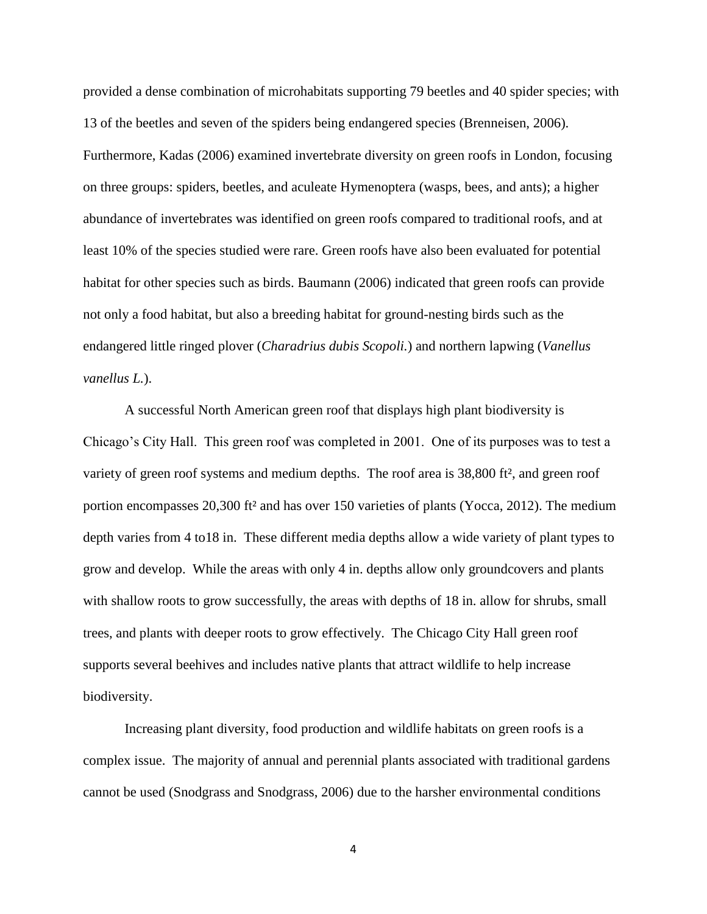provided a dense combination of microhabitats supporting 79 beetles and 40 spider species; with 13 of the beetles and seven of the spiders being endangered species (Brenneisen, 2006). Furthermore, Kadas (2006) examined invertebrate diversity on green roofs in London, focusing on three groups: spiders, beetles, and aculeate Hymenoptera (wasps, bees, and ants); a higher abundance of invertebrates was identified on green roofs compared to traditional roofs, and at least 10% of the species studied were rare. Green roofs have also been evaluated for potential habitat for other species such as birds. Baumann (2006) indicated that green roofs can provide not only a food habitat, but also a breeding habitat for ground-nesting birds such as the endangered little ringed plover (*Charadrius dubis Scopoli.*) and northern lapwing (*Vanellus vanellus L.*).

A successful North American green roof that displays high plant biodiversity is Chicago's City Hall. This green roof was completed in 2001. One of its purposes was to test a variety of green roof systems and medium depths. The roof area is 38,800 ft², and green roof portion encompasses 20,300 ft² and has over 150 varieties of plants (Yocca, 2012). The medium depth varies from 4 to18 in. These different media depths allow a wide variety of plant types to grow and develop. While the areas with only 4 in. depths allow only groundcovers and plants with shallow roots to grow successfully, the areas with depths of 18 in. allow for shrubs, small trees, and plants with deeper roots to grow effectively. The Chicago City Hall green roof supports several beehives and includes native plants that attract wildlife to help increase biodiversity.

 Increasing plant diversity, food production and wildlife habitats on green roofs is a complex issue. The majority of annual and perennial plants associated with traditional gardens cannot be used (Snodgrass and Snodgrass, 2006) due to the harsher environmental conditions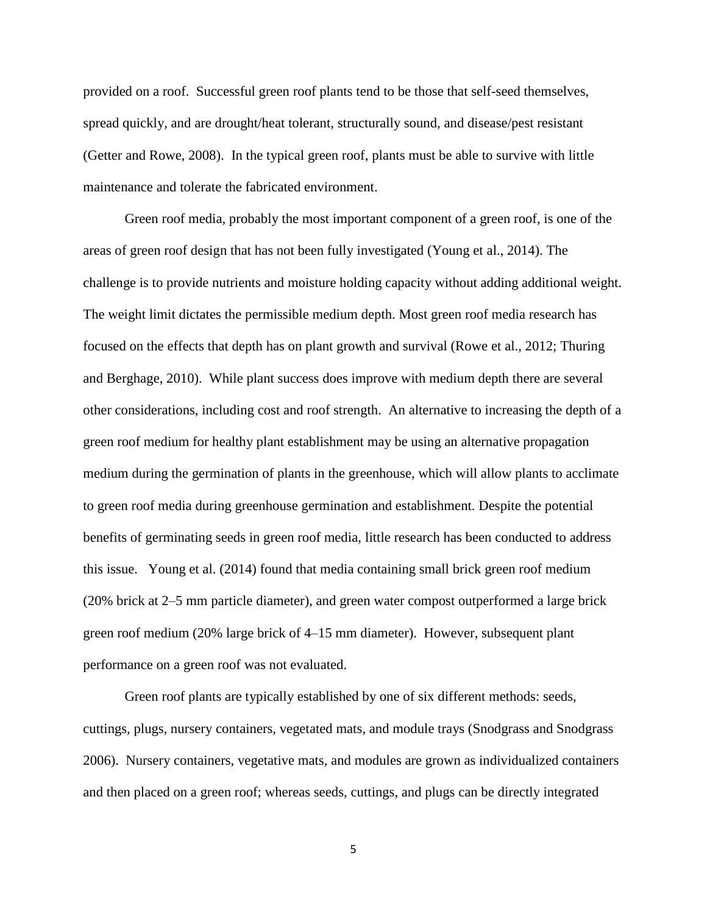provided on a roof. Successful green roof plants tend to be those that self-seed themselves, spread quickly, and are drought/heat tolerant, structurally sound, and disease/pest resistant (Getter and Rowe, 2008). In the typical green roof, plants must be able to survive with little maintenance and tolerate the fabricated environment.

Green roof media, probably the most important component of a green roof, is one of the areas of green roof design that has not been fully investigated (Young et al., 2014). The challenge is to provide nutrients and moisture holding capacity without adding additional weight. The weight limit dictates the permissible medium depth. Most green roof media research has focused on the effects that depth has on plant growth and survival (Rowe et al., 2012; Thuring and Berghage, 2010). While plant success does improve with medium depth there are several other considerations, including cost and roof strength. An alternative to increasing the depth of a green roof medium for healthy plant establishment may be using an alternative propagation medium during the germination of plants in the greenhouse, which will allow plants to acclimate to green roof media during greenhouse germination and establishment. Despite the potential benefits of germinating seeds in green roof media, little research has been conducted to address this issue. Young et al. (2014) found that media containing small brick green roof medium (20% brick at 2–5 mm particle diameter), and green water compost outperformed a large brick green roof medium (20% large brick of 4–15 mm diameter). However, subsequent plant performance on a green roof was not evaluated.

Green roof plants are typically established by one of six different methods: seeds, cuttings, plugs, nursery containers, vegetated mats, and module trays (Snodgrass and Snodgrass 2006). Nursery containers, vegetative mats, and modules are grown as individualized containers and then placed on a green roof; whereas seeds, cuttings, and plugs can be directly integrated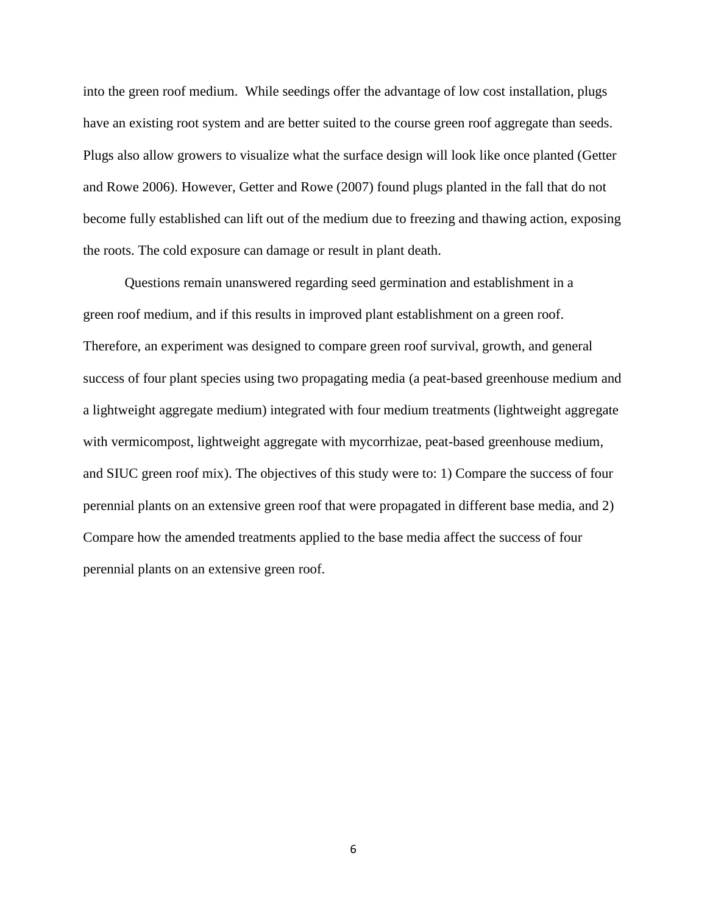into the green roof medium. While seedings offer the advantage of low cost installation, plugs have an existing root system and are better suited to the course green roof aggregate than seeds. Plugs also allow growers to visualize what the surface design will look like once planted (Getter and Rowe 2006). However, Getter and Rowe (2007) found plugs planted in the fall that do not become fully established can lift out of the medium due to freezing and thawing action, exposing the roots. The cold exposure can damage or result in plant death.

Questions remain unanswered regarding seed germination and establishment in a green roof medium, and if this results in improved plant establishment on a green roof. Therefore, an experiment was designed to compare green roof survival, growth, and general success of four plant species using two propagating media (a peat-based greenhouse medium and a lightweight aggregate medium) integrated with four medium treatments (lightweight aggregate with vermicompost, lightweight aggregate with mycorrhizae, peat-based greenhouse medium, and SIUC green roof mix). The objectives of this study were to: 1) Compare the success of four perennial plants on an extensive green roof that were propagated in different base media, and 2) Compare how the amended treatments applied to the base media affect the success of four perennial plants on an extensive green roof.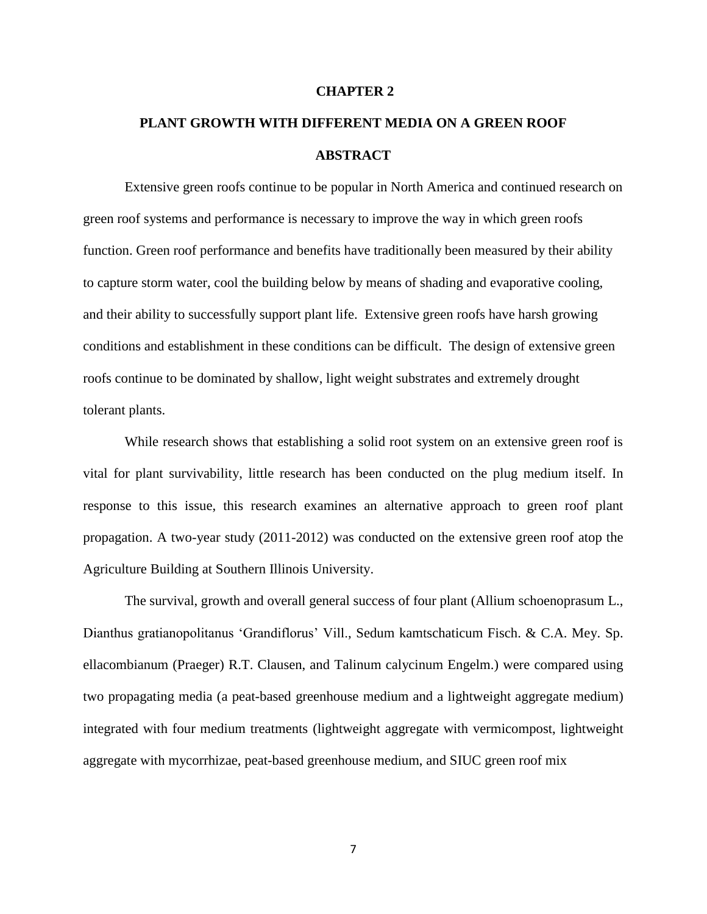#### **CHAPTER 2**

# **PLANT GROWTH WITH DIFFERENT MEDIA ON A GREEN ROOF ABSTRACT**

Extensive green roofs continue to be popular in North America and continued research on green roof systems and performance is necessary to improve the way in which green roofs function. Green roof performance and benefits have traditionally been measured by their ability to capture storm water, cool the building below by means of shading and evaporative cooling, and their ability to successfully support plant life. Extensive green roofs have harsh growing conditions and establishment in these conditions can be difficult. The design of extensive green roofs continue to be dominated by shallow, light weight substrates and extremely drought tolerant plants.

While research shows that establishing a solid root system on an extensive green roof is vital for plant survivability, little research has been conducted on the plug medium itself. In response to this issue, this research examines an alternative approach to green roof plant propagation. A two-year study (2011-2012) was conducted on the extensive green roof atop the Agriculture Building at Southern Illinois University.

The survival, growth and overall general success of four plant (Allium schoenoprasum L., Dianthus gratianopolitanus 'Grandiflorus' Vill., Sedum kamtschaticum Fisch. & C.A. Mey. Sp. ellacombianum (Praeger) R.T. Clausen, and Talinum calycinum Engelm.) were compared using two propagating media (a peat-based greenhouse medium and a lightweight aggregate medium) integrated with four medium treatments (lightweight aggregate with vermicompost, lightweight aggregate with mycorrhizae, peat-based greenhouse medium, and SIUC green roof mix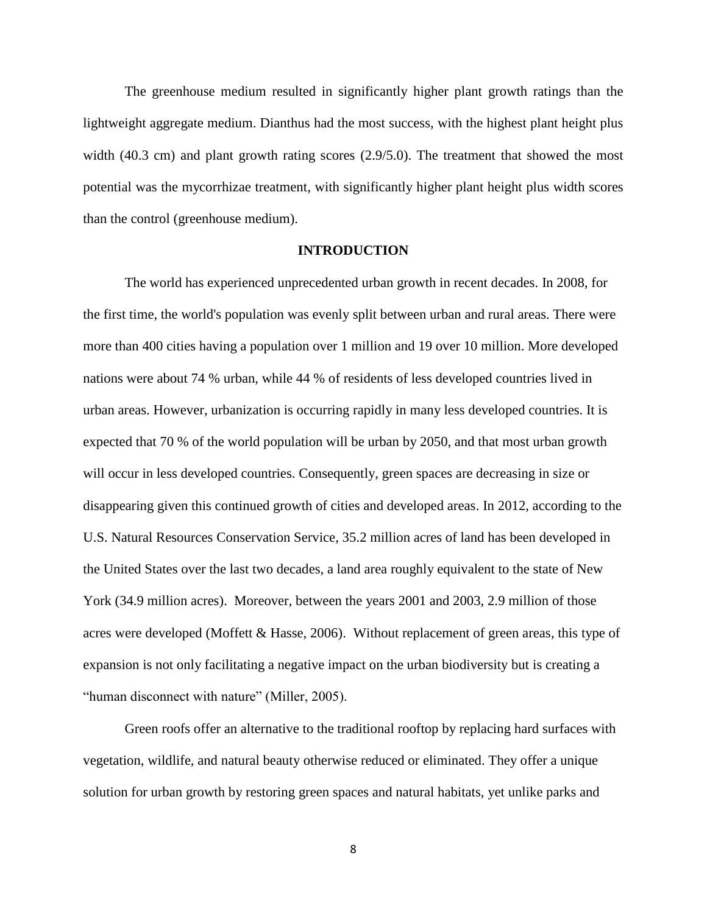The greenhouse medium resulted in significantly higher plant growth ratings than the lightweight aggregate medium. Dianthus had the most success, with the highest plant height plus width (40.3 cm) and plant growth rating scores (2.9/5.0). The treatment that showed the most potential was the mycorrhizae treatment, with significantly higher plant height plus width scores than the control (greenhouse medium).

#### **INTRODUCTION**

The world has experienced unprecedented urban growth in recent decades. In 2008, for the first time, the world's population was evenly split between urban and rural areas. There were more than 400 cities having a population over 1 million and 19 over 10 million. More developed nations were about 74 % urban, while 44 % of residents of less developed countries lived in urban areas. However, urbanization is occurring rapidly in many less developed countries. It is expected that 70 % of the world population will be urban by 2050, and that most urban growth will occur in less developed countries. Consequently, green spaces are decreasing in size or disappearing given this continued growth of cities and developed areas. In 2012, according to the U.S. Natural Resources Conservation Service, 35.2 million acres of land has been developed in the United States over the last two decades, a land area roughly equivalent to the state of New York (34.9 million acres). Moreover, between the years 2001 and 2003, 2.9 million of those acres were developed (Moffett & Hasse, 2006). Without replacement of green areas, this type of expansion is not only facilitating a negative impact on the urban biodiversity but is creating a "human disconnect with nature" (Miller, 2005).

Green roofs offer an alternative to the traditional rooftop by replacing hard surfaces with vegetation, wildlife, and natural beauty otherwise reduced or eliminated. They offer a unique solution for urban growth by restoring green spaces and natural habitats, yet unlike parks and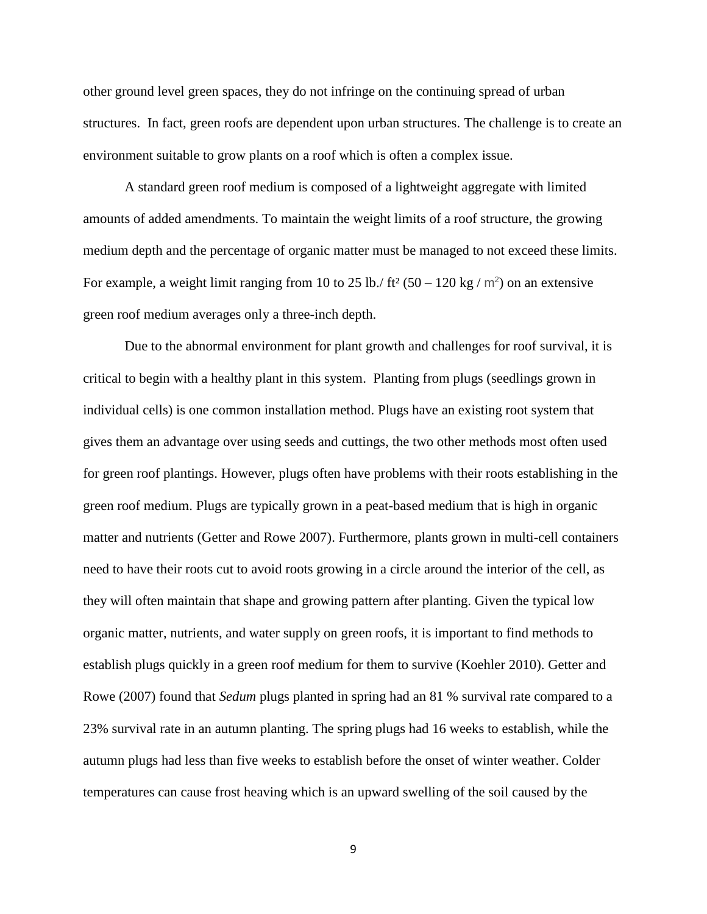other ground level green spaces, they do not infringe on the continuing spread of urban structures. In fact, green roofs are dependent upon urban structures. The challenge is to create an environment suitable to grow plants on a roof which is often a complex issue.

A standard green roof medium is composed of a lightweight aggregate with limited amounts of added amendments. To maintain the weight limits of a roof structure, the growing medium depth and the percentage of organic matter must be managed to not exceed these limits. For example, a weight limit ranging from 10 to 25 lb./ ft<sup>2</sup> (50 – 120 kg /  $m^2$ ) on an extensive green roof medium averages only a three-inch depth.

Due to the abnormal environment for plant growth and challenges for roof survival, it is critical to begin with a healthy plant in this system. Planting from plugs (seedlings grown in individual cells) is one common installation method. Plugs have an existing root system that gives them an advantage over using seeds and cuttings, the two other methods most often used for green roof plantings. However, plugs often have problems with their roots establishing in the green roof medium. Plugs are typically grown in a peat-based medium that is high in organic matter and nutrients (Getter and Rowe 2007). Furthermore, plants grown in multi-cell containers need to have their roots cut to avoid roots growing in a circle around the interior of the cell, as they will often maintain that shape and growing pattern after planting. Given the typical low organic matter, nutrients, and water supply on green roofs, it is important to find methods to establish plugs quickly in a green roof medium for them to survive (Koehler 2010). Getter and Rowe (2007) found that *Sedum* plugs planted in spring had an 81 % survival rate compared to a 23% survival rate in an autumn planting. The spring plugs had 16 weeks to establish, while the autumn plugs had less than five weeks to establish before the onset of winter weather. Colder temperatures can cause frost heaving which is an upward swelling of the soil caused by the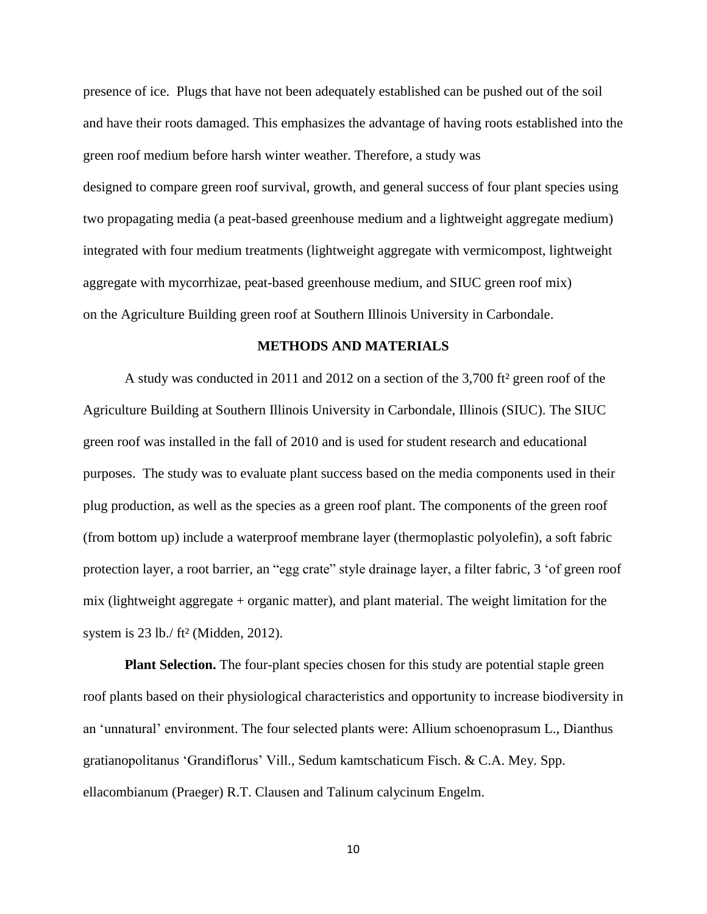presence of ice. Plugs that have not been adequately established can be pushed out of the soil and have their roots damaged. This emphasizes the advantage of having roots established into the green roof medium before harsh winter weather. Therefore, a study was designed to compare green roof survival, growth, and general success of four plant species using two propagating media (a peat-based greenhouse medium and a lightweight aggregate medium) integrated with four medium treatments (lightweight aggregate with vermicompost, lightweight aggregate with mycorrhizae, peat-based greenhouse medium, and SIUC green roof mix) on the Agriculture Building green roof at Southern Illinois University in Carbondale.

#### **METHODS AND MATERIALS**

A study was conducted in 2011 and 2012 on a section of the 3,700 ft² green roof of the Agriculture Building at Southern Illinois University in Carbondale, Illinois (SIUC). The SIUC green roof was installed in the fall of 2010 and is used for student research and educational purposes. The study was to evaluate plant success based on the media components used in their plug production, as well as the species as a green roof plant. The components of the green roof (from bottom up) include a waterproof membrane layer (thermoplastic polyolefin), a soft fabric protection layer, a root barrier, an "egg crate" style drainage layer, a filter fabric, 3 'of green roof mix (lightweight aggregate + organic matter), and plant material. The weight limitation for the system is 23 lb./ ft² (Midden, 2012).

**Plant Selection.** The four-plant species chosen for this study are potential staple green roof plants based on their physiological characteristics and opportunity to increase biodiversity in an 'unnatural' environment. The four selected plants were: Allium schoenoprasum L., Dianthus gratianopolitanus 'Grandiflorus' Vill., Sedum kamtschaticum Fisch. & C.A. Mey. Spp. ellacombianum (Praeger) R.T. Clausen and Talinum calycinum Engelm.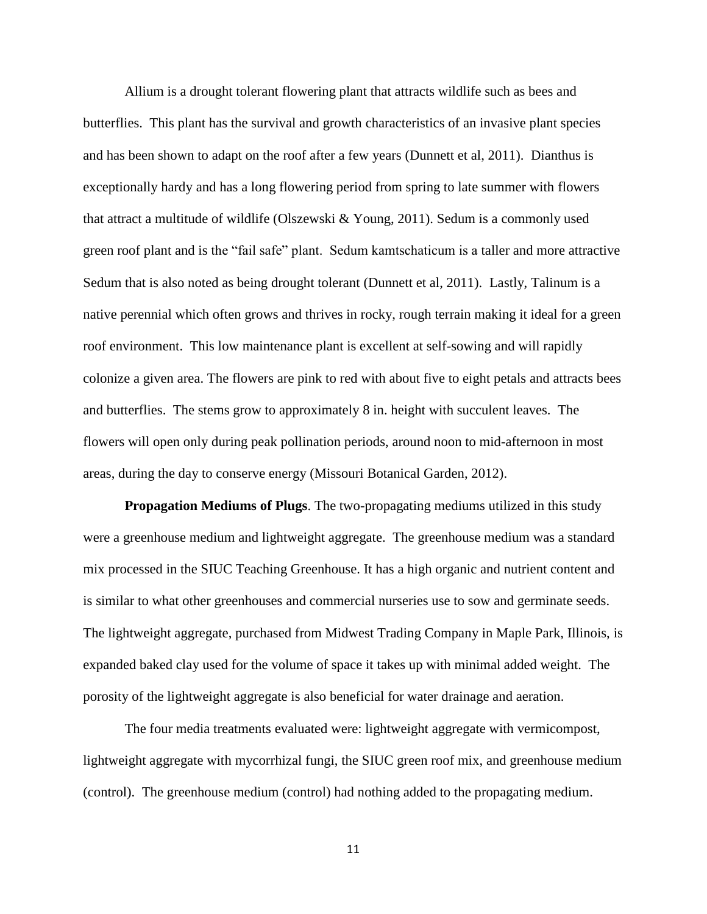Allium is a drought tolerant flowering plant that attracts wildlife such as bees and butterflies. This plant has the survival and growth characteristics of an invasive plant species and has been shown to adapt on the roof after a few years (Dunnett et al, 2011). Dianthus is exceptionally hardy and has a long flowering period from spring to late summer with flowers that attract a multitude of wildlife (Olszewski & Young, 2011). Sedum is a commonly used green roof plant and is the "fail safe" plant. Sedum kamtschaticum is a taller and more attractive Sedum that is also noted as being drought tolerant (Dunnett et al, 2011). Lastly, Talinum is a native perennial which often grows and thrives in rocky, rough terrain making it ideal for a green roof environment. This low maintenance plant is excellent at self-sowing and will rapidly colonize a given area. The flowers are pink to red with about five to eight petals and attracts bees and butterflies. The stems grow to approximately 8 in. height with succulent leaves. The flowers will open only during peak pollination periods, around noon to mid-afternoon in most areas, during the day to conserve energy (Missouri Botanical Garden, 2012).

**Propagation Mediums of Plugs**. The two-propagating mediums utilized in this study were a greenhouse medium and lightweight aggregate. The greenhouse medium was a standard mix processed in the SIUC Teaching Greenhouse. It has a high organic and nutrient content and is similar to what other greenhouses and commercial nurseries use to sow and germinate seeds. The lightweight aggregate, purchased from Midwest Trading Company in Maple Park, Illinois, is expanded baked clay used for the volume of space it takes up with minimal added weight. The porosity of the lightweight aggregate is also beneficial for water drainage and aeration.

The four media treatments evaluated were: lightweight aggregate with vermicompost, lightweight aggregate with mycorrhizal fungi, the SIUC green roof mix, and greenhouse medium (control). The greenhouse medium (control) had nothing added to the propagating medium.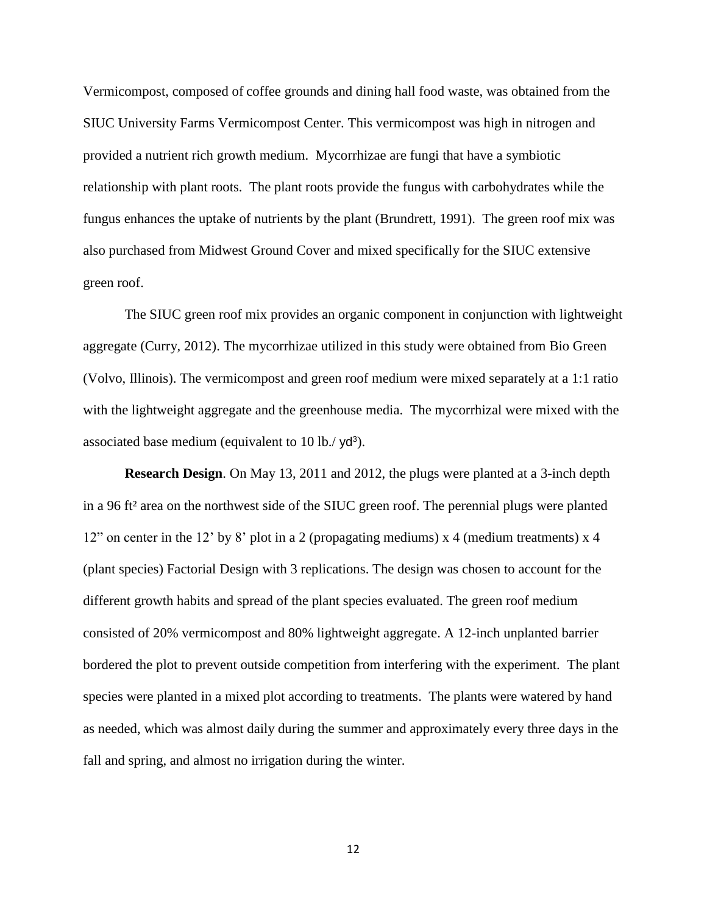Vermicompost, composed of coffee grounds and dining hall food waste, was obtained from the SIUC University Farms Vermicompost Center. This vermicompost was high in nitrogen and provided a nutrient rich growth medium. Mycorrhizae are fungi that have a symbiotic relationship with plant roots. The plant roots provide the fungus with carbohydrates while the fungus enhances the uptake of nutrients by the plant (Brundrett, 1991). The green roof mix was also purchased from Midwest Ground Cover and mixed specifically for the SIUC extensive green roof.

The SIUC green roof mix provides an organic component in conjunction with lightweight aggregate (Curry, 2012). The mycorrhizae utilized in this study were obtained from Bio Green (Volvo, Illinois). The vermicompost and green roof medium were mixed separately at a 1:1 ratio with the lightweight aggregate and the greenhouse media. The mycorrhizal were mixed with the associated base medium (equivalent to  $10$  lb./yd<sup>3</sup>).

**Research Design**. On May 13, 2011 and 2012, the plugs were planted at a 3-inch depth in a 96 ft² area on the northwest side of the SIUC green roof. The perennial plugs were planted 12" on center in the 12' by 8' plot in a 2 (propagating mediums) x 4 (medium treatments) x 4 (plant species) Factorial Design with 3 replications. The design was chosen to account for the different growth habits and spread of the plant species evaluated. The green roof medium consisted of 20% vermicompost and 80% lightweight aggregate. A 12-inch unplanted barrier bordered the plot to prevent outside competition from interfering with the experiment. The plant species were planted in a mixed plot according to treatments. The plants were watered by hand as needed, which was almost daily during the summer and approximately every three days in the fall and spring, and almost no irrigation during the winter.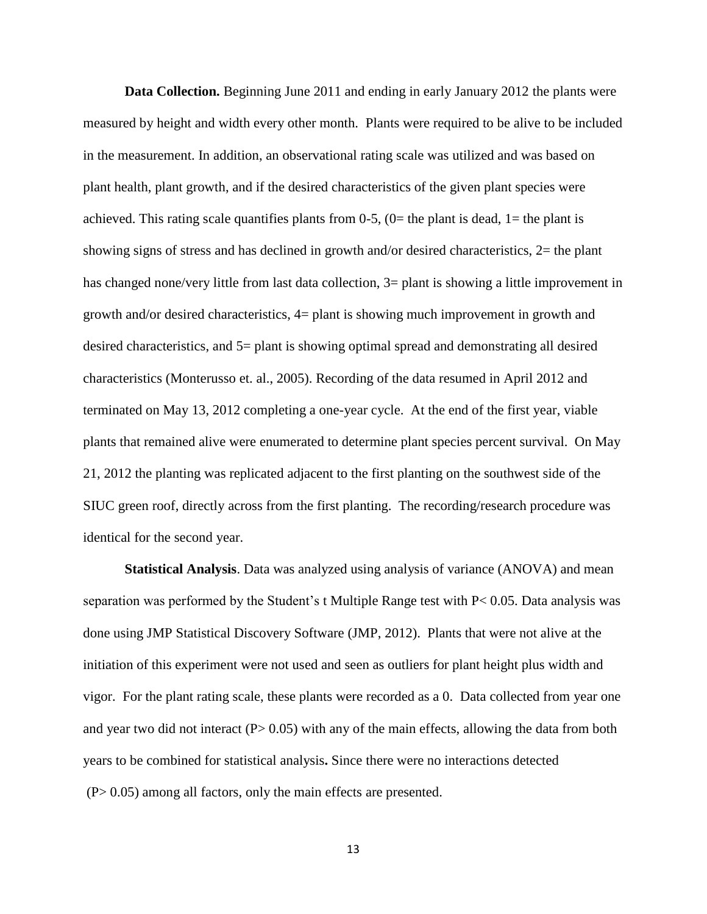**Data Collection.** Beginning June 2011 and ending in early January 2012 the plants were measured by height and width every other month. Plants were required to be alive to be included in the measurement. In addition, an observational rating scale was utilized and was based on plant health, plant growth, and if the desired characteristics of the given plant species were achieved. This rating scale quantifies plants from  $0-5$ ,  $(0=$  the plant is dead,  $1=$  the plant is showing signs of stress and has declined in growth and/or desired characteristics, 2= the plant has changed none/very little from last data collection,  $3=$  plant is showing a little improvement in growth and/or desired characteristics, 4= plant is showing much improvement in growth and desired characteristics, and 5= plant is showing optimal spread and demonstrating all desired characteristics (Monterusso et. al., 2005). Recording of the data resumed in April 2012 and terminated on May 13, 2012 completing a one-year cycle. At the end of the first year, viable plants that remained alive were enumerated to determine plant species percent survival. On May 21, 2012 the planting was replicated adjacent to the first planting on the southwest side of the SIUC green roof, directly across from the first planting. The recording/research procedure was identical for the second year.

**Statistical Analysis**. Data was analyzed using analysis of variance (ANOVA) and mean separation was performed by the Student's t Multiple Range test with P< 0.05. Data analysis was done using JMP Statistical Discovery Software (JMP, 2012). Plants that were not alive at the initiation of this experiment were not used and seen as outliers for plant height plus width and vigor. For the plant rating scale, these plants were recorded as a 0. Data collected from year one and year two did not interact  $(P> 0.05)$  with any of the main effects, allowing the data from both years to be combined for statistical analysis**.** Since there were no interactions detected (P> 0.05) among all factors, only the main effects are presented.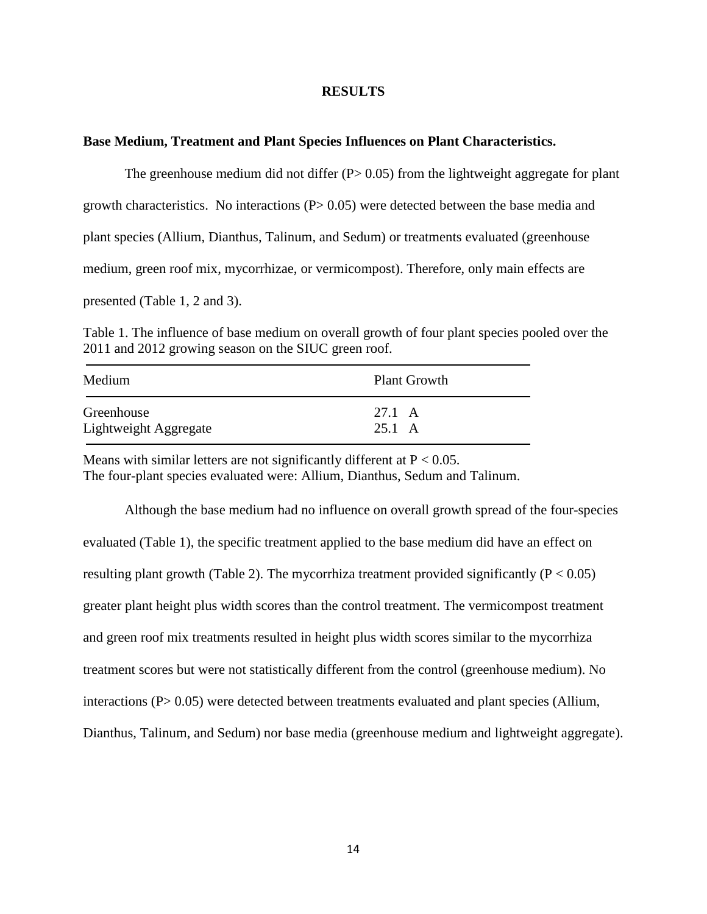#### **RESULTS**

#### **Base Medium, Treatment and Plant Species Influences on Plant Characteristics.**

The greenhouse medium did not differ  $(P> 0.05)$  from the lightweight aggregate for plant growth characteristics. No interactions  $(P> 0.05)$  were detected between the base media and plant species (Allium, Dianthus, Talinum, and Sedum) or treatments evaluated (greenhouse medium, green roof mix, mycorrhizae, or vermicompost). Therefore, only main effects are presented (Table 1, 2 and 3).

Table 1. The influence of base medium on overall growth of four plant species pooled over the 2011 and 2012 growing season on the SIUC green roof.

| Medium                | <b>Plant Growth</b> |
|-----------------------|---------------------|
| Greenhouse            | 27.1 A              |
| Lightweight Aggregate | 25.1 A              |

Means with similar letters are not significantly different at  $P < 0.05$ . The four-plant species evaluated were: Allium, Dianthus, Sedum and Talinum.

Although the base medium had no influence on overall growth spread of the four-species evaluated (Table 1), the specific treatment applied to the base medium did have an effect on resulting plant growth (Table 2). The mycorrhiza treatment provided significantly ( $P < 0.05$ ) greater plant height plus width scores than the control treatment. The vermicompost treatment and green roof mix treatments resulted in height plus width scores similar to the mycorrhiza treatment scores but were not statistically different from the control (greenhouse medium). No interactions  $(P > 0.05)$  were detected between treatments evaluated and plant species (Allium, Dianthus, Talinum, and Sedum) nor base media (greenhouse medium and lightweight aggregate).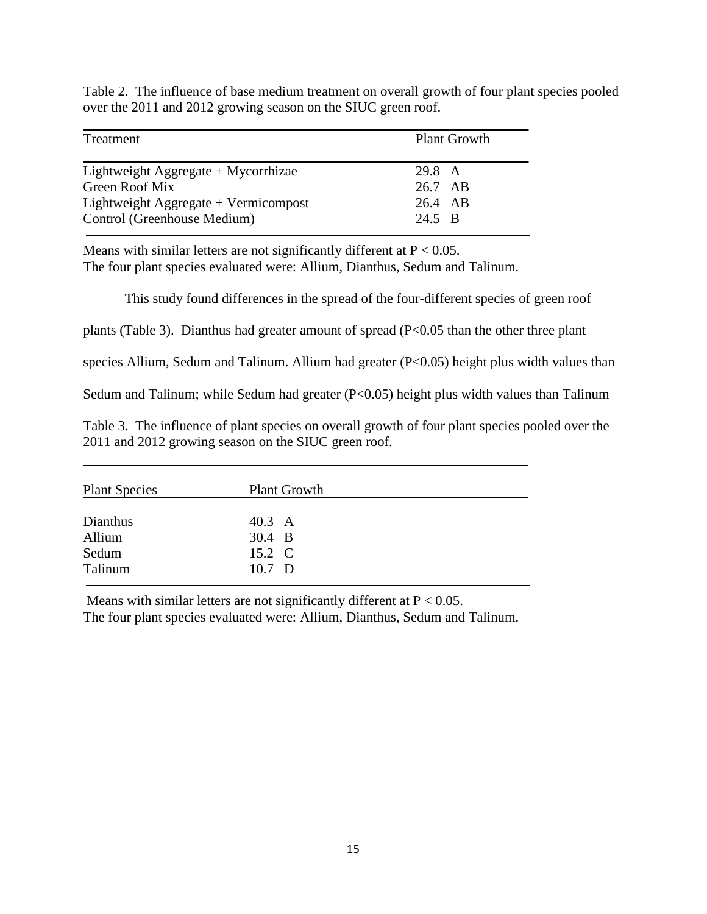Table 2. The influence of base medium treatment on overall growth of four plant species pooled over the 2011 and 2012 growing season on the SIUC green roof.

| Treatment                             | <b>Plant Growth</b> |
|---------------------------------------|---------------------|
| Lightweight Aggregate $+$ Mycorrhizae | 29.8 A              |
| Green Roof Mix                        | 26.7 AB             |
| Lightweight Aggregate + Vermicompost  | 26.4 AB             |
| Control (Greenhouse Medium)           | 24.5 B              |

Means with similar letters are not significantly different at  $P < 0.05$ . The four plant species evaluated were: Allium, Dianthus, Sedum and Talinum.

This study found differences in the spread of the four-different species of green roof

plants (Table 3). Dianthus had greater amount of spread (P<0.05 than the other three plant

species Allium, Sedum and Talinum. Allium had greater (P<0.05) height plus width values than

Sedum and Talinum; while Sedum had greater  $(P<0.05)$  height plus width values than Talinum

Table 3. The influence of plant species on overall growth of four plant species pooled over the 2011 and 2012 growing season on the SIUC green roof.

| <b>Plant Species</b> | <b>Plant Growth</b> |  |
|----------------------|---------------------|--|
| Dianthus             | 40.3 A              |  |
| Allium               | 30.4 B              |  |
| Sedum                | 15.2 C              |  |
| Talinum              | $10.7$ D            |  |

Means with similar letters are not significantly different at  $P < 0.05$ . The four plant species evaluated were: Allium, Dianthus, Sedum and Talinum.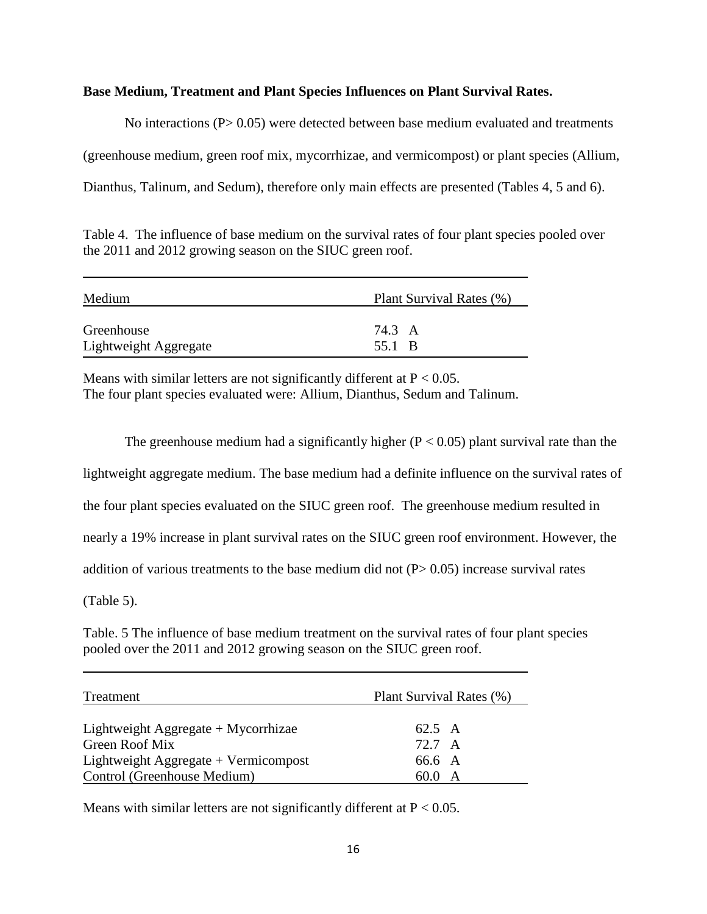### **Base Medium, Treatment and Plant Species Influences on Plant Survival Rates.**

No interactions (P> 0.05) were detected between base medium evaluated and treatments (greenhouse medium, green roof mix, mycorrhizae, and vermicompost) or plant species (Allium, Dianthus, Talinum, and Sedum), therefore only main effects are presented (Tables 4, 5 and 6).

Table 4. The influence of base medium on the survival rates of four plant species pooled over the 2011 and 2012 growing season on the SIUC green roof.

| Medium                | Plant Survival Rates (%) |  |
|-----------------------|--------------------------|--|
| Greenhouse            | 74.3 A                   |  |
| Lightweight Aggregate | 55.1 B                   |  |

Means with similar letters are not significantly different at  $P < 0.05$ . The four plant species evaluated were: Allium, Dianthus, Sedum and Talinum.

The greenhouse medium had a significantly higher  $(P < 0.05)$  plant survival rate than the lightweight aggregate medium. The base medium had a definite influence on the survival rates of the four plant species evaluated on the SIUC green roof. The greenhouse medium resulted in nearly a 19% increase in plant survival rates on the SIUC green roof environment. However, the addition of various treatments to the base medium did not  $(P> 0.05)$  increase survival rates (Table 5).

Table. 5 The influence of base medium treatment on the survival rates of four plant species pooled over the 2011 and 2012 growing season on the SIUC green roof.

| Treatment                              | Plant Survival Rates (%) |
|----------------------------------------|--------------------------|
| Lightweight Aggregate $+$ Mycorrhizae  | 62.5 A                   |
| Green Roof Mix                         | 72.7 A                   |
| Lightweight Aggregate $+$ Vermicompost | 66.6 A                   |
| Control (Greenhouse Medium)            | 60.0 A                   |

Means with similar letters are not significantly different at  $P < 0.05$ .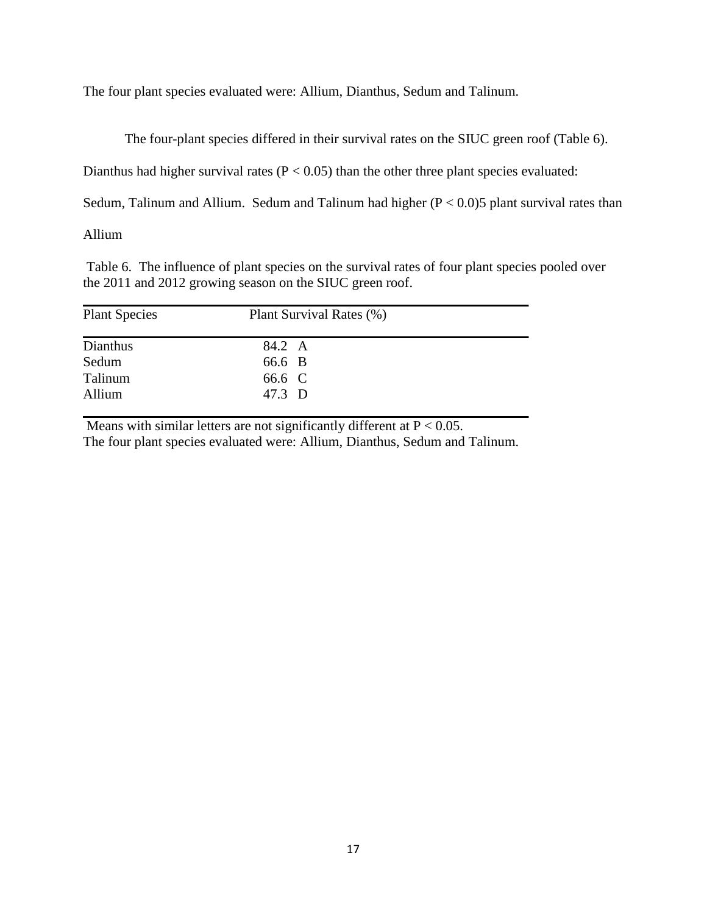The four plant species evaluated were: Allium, Dianthus, Sedum and Talinum.

The four-plant species differed in their survival rates on the SIUC green roof (Table 6).

Dianthus had higher survival rates ( $P < 0.05$ ) than the other three plant species evaluated:

Sedum, Talinum and Allium. Sedum and Talinum had higher  $(P < 0.0)5$  plant survival rates than

Allium

Table 6. The influence of plant species on the survival rates of four plant species pooled over the 2011 and 2012 growing season on the SIUC green roof.

| <b>Plant Species</b> | Plant Survival Rates (%) |
|----------------------|--------------------------|
| Dianthus             | 84.2 A                   |
| Sedum                | 66.6 B                   |
| Talinum              | 66.6 C                   |
| Allium               | 47.3 D                   |

Means with similar letters are not significantly different at  $P < 0.05$ . The four plant species evaluated were: Allium, Dianthus, Sedum and Talinum.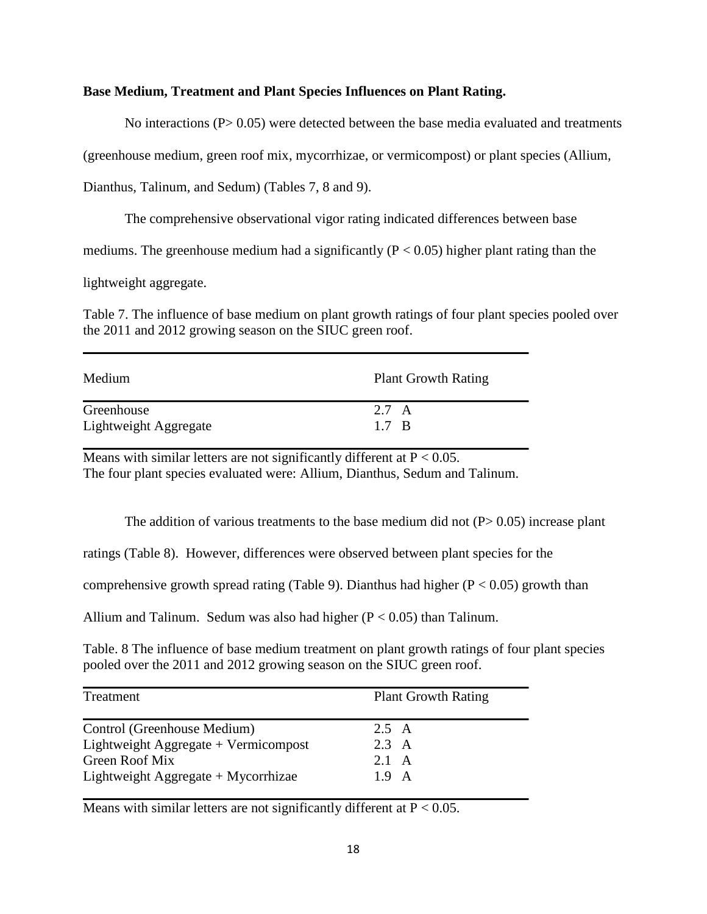### **Base Medium, Treatment and Plant Species Influences on Plant Rating.**

No interactions  $(P> 0.05)$  were detected between the base media evaluated and treatments

(greenhouse medium, green roof mix, mycorrhizae, or vermicompost) or plant species (Allium,

Dianthus, Talinum, and Sedum) (Tables 7, 8 and 9).

The comprehensive observational vigor rating indicated differences between base

mediums. The greenhouse medium had a significantly ( $P < 0.05$ ) higher plant rating than the

lightweight aggregate.

Table 7. The influence of base medium on plant growth ratings of four plant species pooled over the 2011 and 2012 growing season on the SIUC green roof.

| Medium                | <b>Plant Growth Rating</b> |
|-----------------------|----------------------------|
| Greenhouse            | 2.7 A                      |
| Lightweight Aggregate | 1.7 B                      |

Means with similar letters are not significantly different at  $P < 0.05$ . The four plant species evaluated were: Allium, Dianthus, Sedum and Talinum.

The addition of various treatments to the base medium did not  $(P> 0.05)$  increase plant

ratings (Table 8). However, differences were observed between plant species for the

comprehensive growth spread rating (Table 9). Dianthus had higher ( $P < 0.05$ ) growth than

Allium and Talinum. Sedum was also had higher  $(P < 0.05)$  than Talinum.

Table. 8 The influence of base medium treatment on plant growth ratings of four plant species pooled over the 2011 and 2012 growing season on the SIUC green roof.

| Treatment                            | <b>Plant Growth Rating</b> |
|--------------------------------------|----------------------------|
| Control (Greenhouse Medium)          | 2.5 A                      |
| Lightweight Aggregate + Vermicompost | $2.3 \text{ A}$            |
| Green Roof Mix                       | 2.1 A                      |
| Lightweight Aggregate + Mycorrhizae  | $1.9 \text{ A}$            |

Means with similar letters are not significantly different at  $P < 0.05$ .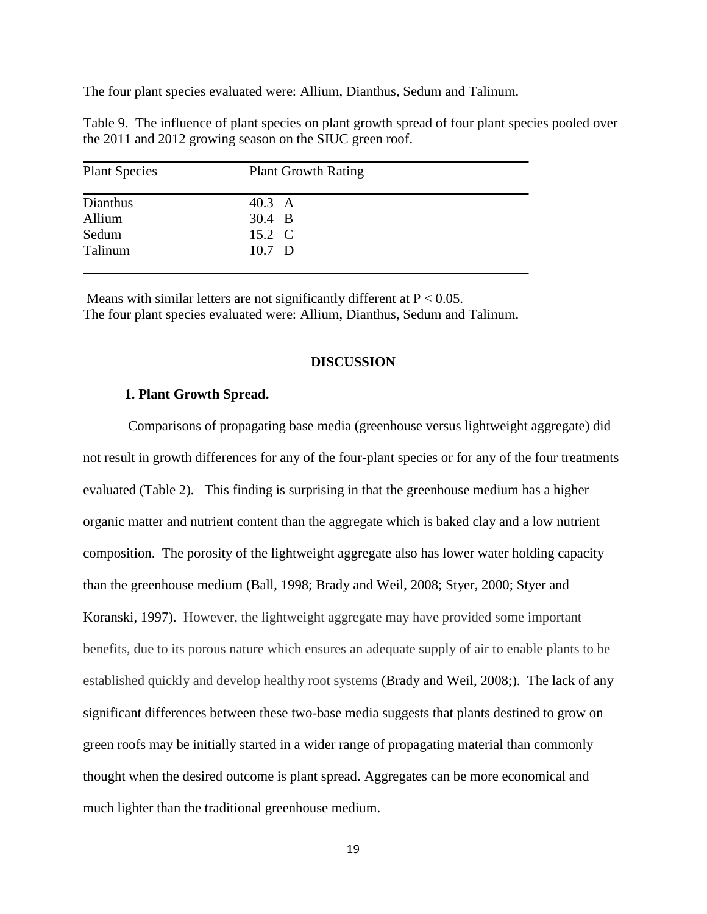The four plant species evaluated were: Allium, Dianthus, Sedum and Talinum.

| Table 9. The influence of plant species on plant growth spread of four plant species pooled over |  |  |  |
|--------------------------------------------------------------------------------------------------|--|--|--|
| the 2011 and 2012 growing season on the SIUC green roof.                                         |  |  |  |

| <b>Plant Species</b> | <b>Plant Growth Rating</b> |  |
|----------------------|----------------------------|--|
| Dianthus             | 40.3 A                     |  |
| Allium               | 30.4 B                     |  |
| Sedum                | 15.2 C                     |  |
| Talinum              | 10.7 D                     |  |

Means with similar letters are not significantly different at  $P < 0.05$ . The four plant species evaluated were: Allium, Dianthus, Sedum and Talinum.

#### **DISCUSSION**

#### **1. Plant Growth Spread.**

Comparisons of propagating base media (greenhouse versus lightweight aggregate) did not result in growth differences for any of the four-plant species or for any of the four treatments evaluated (Table 2). This finding is surprising in that the greenhouse medium has a higher organic matter and nutrient content than the aggregate which is baked clay and a low nutrient composition. The porosity of the lightweight aggregate also has lower water holding capacity than the greenhouse medium (Ball, 1998; Brady and Weil, 2008; Styer, 2000; Styer and Koranski, 1997). However, the lightweight aggregate may have provided some important benefits, due to its porous nature which ensures an adequate supply of air to enable plants to be established quickly and develop healthy root systems (Brady and Weil, 2008;). The lack of any significant differences between these two-base media suggests that plants destined to grow on green roofs may be initially started in a wider range of propagating material than commonly thought when the desired outcome is plant spread. Aggregates can be more economical and much lighter than the traditional greenhouse medium.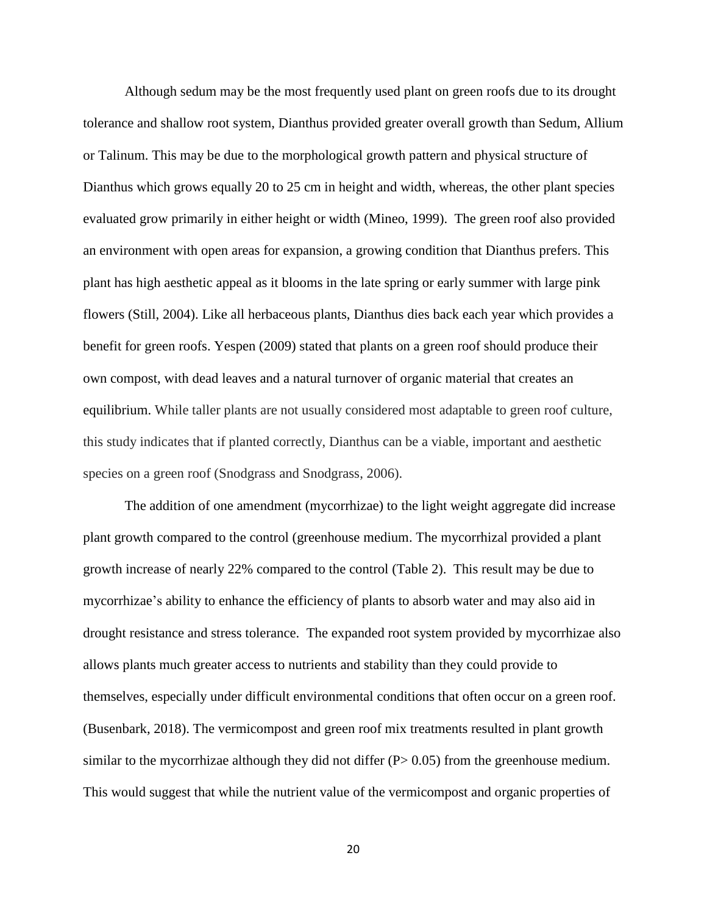Although sedum may be the most frequently used plant on green roofs due to its drought tolerance and shallow root system, Dianthus provided greater overall growth than Sedum, Allium or Talinum. This may be due to the morphological growth pattern and physical structure of Dianthus which grows equally 20 to 25 cm in height and width, whereas, the other plant species evaluated grow primarily in either height or width (Mineo, 1999). The green roof also provided an environment with open areas for expansion, a growing condition that Dianthus prefers. This plant has high aesthetic appeal as it blooms in the late spring or early summer with large pink flowers (Still, 2004). Like all herbaceous plants, Dianthus dies back each year which provides a benefit for green roofs. Yespen (2009) stated that plants on a green roof should produce their own compost, with dead leaves and a natural turnover of organic material that creates an equilibrium. While taller plants are not usually considered most adaptable to green roof culture, this study indicates that if planted correctly, Dianthus can be a viable, important and aesthetic species on a green roof (Snodgrass and Snodgrass, 2006).

The addition of one amendment (mycorrhizae) to the light weight aggregate did increase plant growth compared to the control (greenhouse medium. The mycorrhizal provided a plant growth increase of nearly 22% compared to the control (Table 2). This result may be due to mycorrhizae's ability to enhance the efficiency of plants to absorb water and may also aid in drought resistance and stress tolerance. The expanded root system provided by mycorrhizae also allows plants much greater access to nutrients and stability than they could provide to themselves, especially under difficult environmental conditions that often occur on a green roof. (Busenbark, 2018). The vermicompost and green roof mix treatments resulted in plant growth similar to the mycorrhizae although they did not differ  $(P> 0.05)$  from the greenhouse medium. This would suggest that while the nutrient value of the vermicompost and organic properties of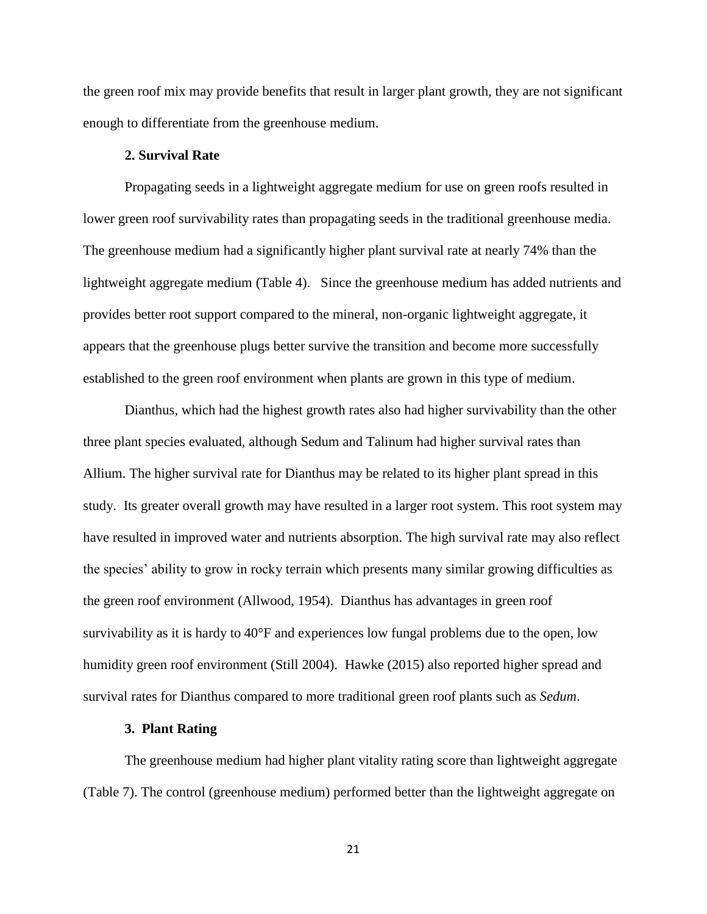the green roof mix may provide benefits that result in larger plant growth, they are not significant enough to differentiate from the greenhouse medium.

#### **2. Survival Rate**

Propagating seeds in a lightweight aggregate medium for use on green roofs resulted in lower green roof survivability rates than propagating seeds in the traditional greenhouse media. The greenhouse medium had a significantly higher plant survival rate at nearly 74% than the lightweight aggregate medium (Table 4). Since the greenhouse medium has added nutrients and provides better root support compared to the mineral, non-organic lightweight aggregate, it appears that the greenhouse plugs better survive the transition and become more successfully established to the green roof environment when plants are grown in this type of medium.

Dianthus, which had the highest growth rates also had higher survivability than the other three plant species evaluated, although Sedum and Talinum had higher survival rates than Allium. The higher survival rate for Dianthus may be related to its higher plant spread in this study. Its greater overall growth may have resulted in a larger root system. This root system may have resulted in improved water and nutrients absorption. The high survival rate may also reflect the species' ability to grow in rocky terrain which presents many similar growing difficulties as the green roof environment (Allwood, 1954). Dianthus has advantages in green roof survivability as it is hardy to 40°F and experiences low fungal problems due to the open, low humidity green roof environment (Still 2004). Hawke (2015) also reported higher spread and survival rates for Dianthus compared to more traditional green roof plants such as *Sedum*.

#### **3. Plant Rating**

The greenhouse medium had higher plant vitality rating score than lightweight aggregate (Table 7). The control (greenhouse medium) performed better than the lightweight aggregate on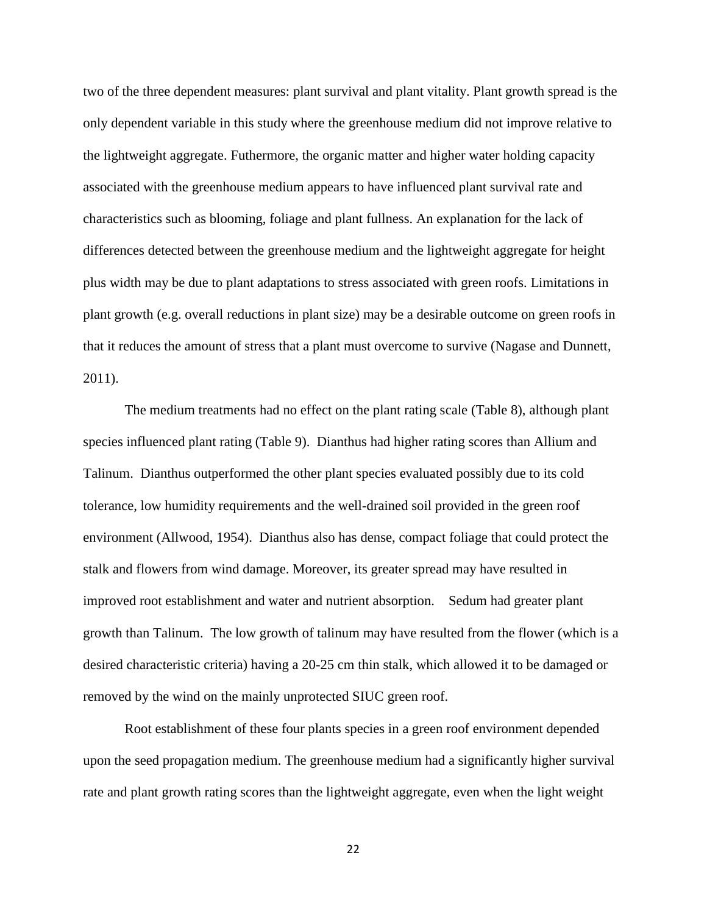two of the three dependent measures: plant survival and plant vitality. Plant growth spread is the only dependent variable in this study where the greenhouse medium did not improve relative to the lightweight aggregate. Futhermore, the organic matter and higher water holding capacity associated with the greenhouse medium appears to have influenced plant survival rate and characteristics such as blooming, foliage and plant fullness. An explanation for the lack of differences detected between the greenhouse medium and the lightweight aggregate for height plus width may be due to plant adaptations to stress associated with green roofs. Limitations in plant growth (e.g. overall reductions in plant size) may be a desirable outcome on green roofs in that it reduces the amount of stress that a plant must overcome to survive (Nagase and Dunnett, 2011).

The medium treatments had no effect on the plant rating scale (Table 8), although plant species influenced plant rating (Table 9). Dianthus had higher rating scores than Allium and Talinum. Dianthus outperformed the other plant species evaluated possibly due to its cold tolerance, low humidity requirements and the well-drained soil provided in the green roof environment (Allwood, 1954). Dianthus also has dense, compact foliage that could protect the stalk and flowers from wind damage. Moreover, its greater spread may have resulted in improved root establishment and water and nutrient absorption. Sedum had greater plant growth than Talinum. The low growth of talinum may have resulted from the flower (which is a desired characteristic criteria) having a 20-25 cm thin stalk, which allowed it to be damaged or removed by the wind on the mainly unprotected SIUC green roof.

Root establishment of these four plants species in a green roof environment depended upon the seed propagation medium. The greenhouse medium had a significantly higher survival rate and plant growth rating scores than the lightweight aggregate, even when the light weight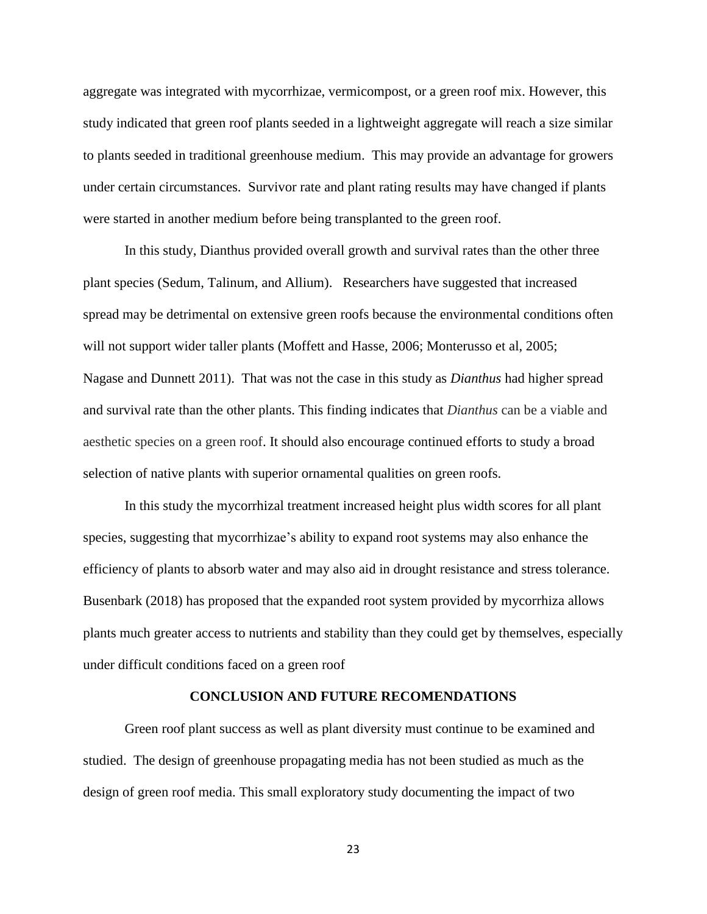aggregate was integrated with mycorrhizae, vermicompost, or a green roof mix. However, this study indicated that green roof plants seeded in a lightweight aggregate will reach a size similar to plants seeded in traditional greenhouse medium. This may provide an advantage for growers under certain circumstances. Survivor rate and plant rating results may have changed if plants were started in another medium before being transplanted to the green roof.

In this study, Dianthus provided overall growth and survival rates than the other three plant species (Sedum, Talinum, and Allium). Researchers have suggested that increased spread may be detrimental on extensive green roofs because the environmental conditions often will not support wider taller plants (Moffett and Hasse, 2006; Monterusso et al, 2005; Nagase and Dunnett 2011). That was not the case in this study as *Dianthus* had higher spread and survival rate than the other plants. This finding indicates that *Dianthus* can be a viable and aesthetic species on a green roof. It should also encourage continued efforts to study a broad selection of native plants with superior ornamental qualities on green roofs.

In this study the mycorrhizal treatment increased height plus width scores for all plant species, suggesting that mycorrhizae's ability to expand root systems may also enhance the efficiency of plants to absorb water and may also aid in drought resistance and stress tolerance. Busenbark (2018) has proposed that the expanded root system provided by mycorrhiza allows plants much greater access to nutrients and stability than they could get by themselves, especially under difficult conditions faced on a green roof

#### **CONCLUSION AND FUTURE RECOMENDATIONS**

Green roof plant success as well as plant diversity must continue to be examined and studied. The design of greenhouse propagating media has not been studied as much as the design of green roof media. This small exploratory study documenting the impact of two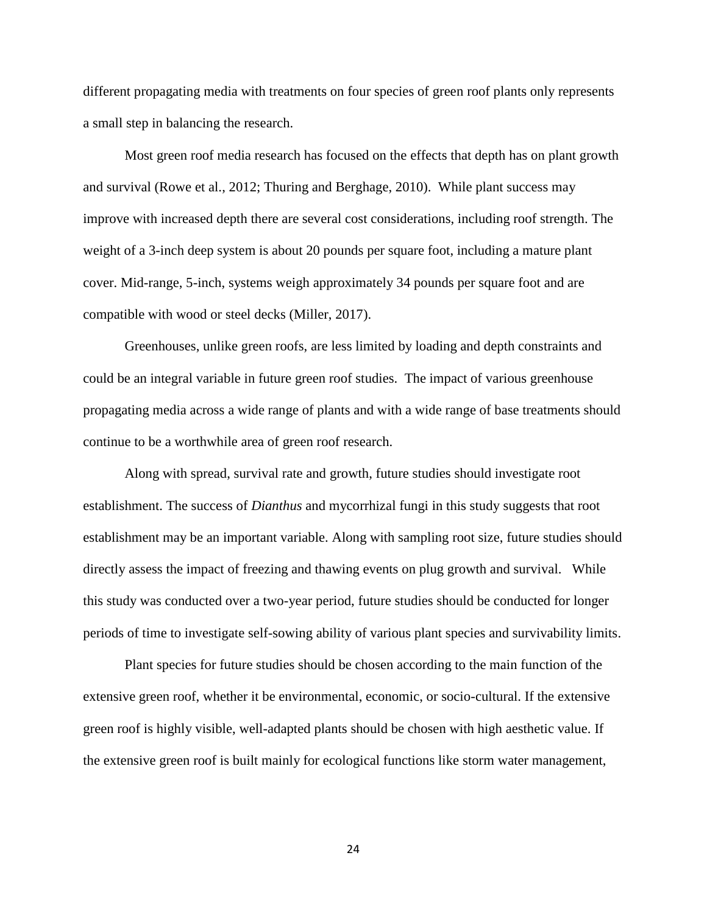different propagating media with treatments on four species of green roof plants only represents a small step in balancing the research.

Most green roof media research has focused on the effects that depth has on plant growth and survival (Rowe et al., 2012; Thuring and Berghage, 2010). While plant success may improve with increased depth there are several cost considerations, including roof strength. The weight of a 3-inch deep system is about 20 pounds per square foot, including a mature plant cover. Mid-range, 5-inch, systems weigh approximately 34 pounds per square foot and are compatible with wood or steel decks (Miller, 2017).

Greenhouses, unlike green roofs, are less limited by loading and depth constraints and could be an integral variable in future green roof studies. The impact of various greenhouse propagating media across a wide range of plants and with a wide range of base treatments should continue to be a worthwhile area of green roof research.

Along with spread, survival rate and growth, future studies should investigate root establishment. The success of *Dianthus* and mycorrhizal fungi in this study suggests that root establishment may be an important variable. Along with sampling root size, future studies should directly assess the impact of freezing and thawing events on plug growth and survival. While this study was conducted over a two-year period, future studies should be conducted for longer periods of time to investigate self-sowing ability of various plant species and survivability limits.

Plant species for future studies should be chosen according to the main function of the extensive green roof, whether it be environmental, economic, or socio-cultural. If the extensive green roof is highly visible, well-adapted plants should be chosen with high aesthetic value. If the extensive green roof is built mainly for ecological functions like storm water management,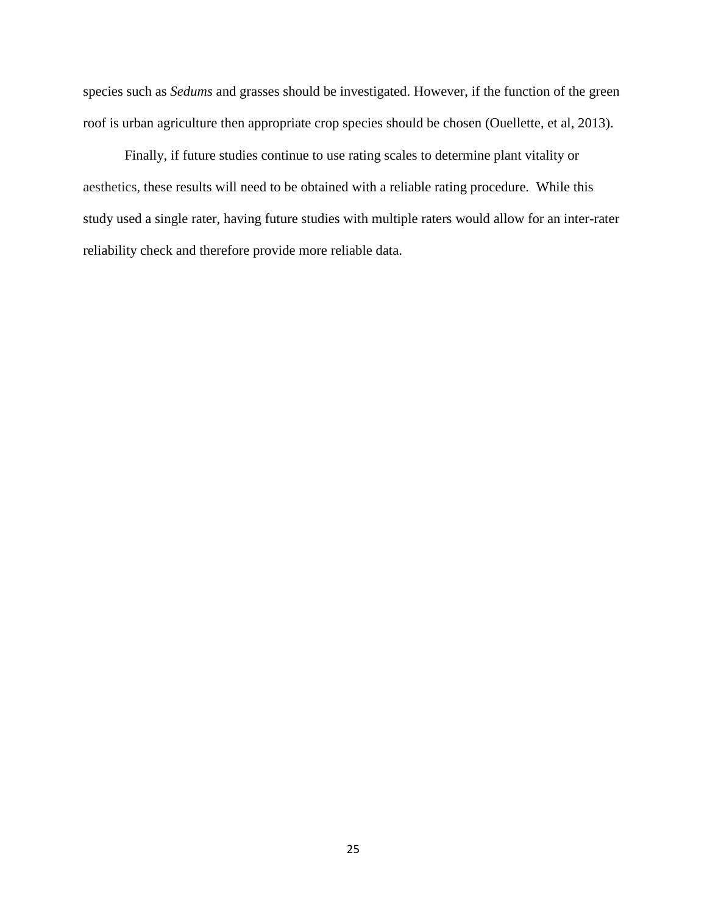species such as *Sedums* and grasses should be investigated. However, if the function of the green roof is urban agriculture then appropriate crop species should be chosen (Ouellette, et al, 2013).

Finally, if future studies continue to use rating scales to determine plant vitality or aesthetics, these results will need to be obtained with a reliable rating procedure. While this study used a single rater, having future studies with multiple raters would allow for an inter-rater reliability check and therefore provide more reliable data.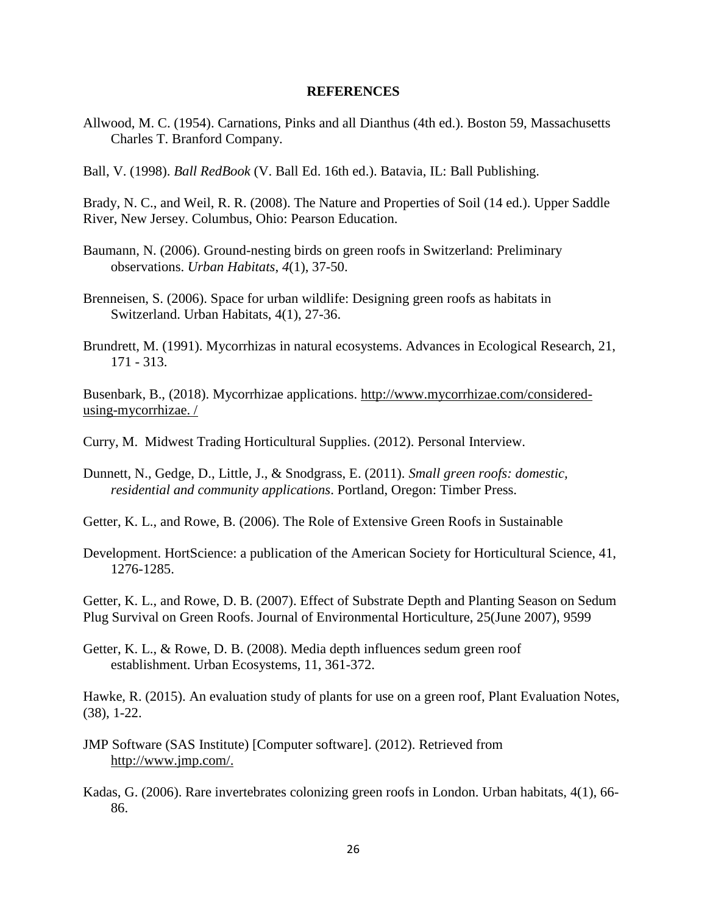#### **REFERENCES**

- Allwood, M. C. (1954). Carnations, Pinks and all Dianthus (4th ed.). Boston 59, Massachusetts Charles T. Branford Company.
- Ball, V. (1998). *Ball RedBook* (V. Ball Ed. 16th ed.). Batavia, IL: Ball Publishing.

Brady, N. C., and Weil, R. R. (2008). The Nature and Properties of Soil (14 ed.). Upper Saddle River, New Jersey. Columbus, Ohio: Pearson Education.

- Baumann, N. (2006). Ground-nesting birds on green roofs in Switzerland: Preliminary observations. *Urban Habitats*, *4*(1), 37-50.
- Brenneisen, S. (2006). Space for urban wildlife: Designing green roofs as habitats in Switzerland. Urban Habitats, 4(1), 27-36.
- Brundrett, M. (1991). Mycorrhizas in natural ecosystems. Advances in Ecological Research, 21, 171 - 313.

Busenbark, B., (2018). Mycorrhizae applications. [http://www.mycorrhizae.com/considered](http://www.mycorrhizae.com/considered-using-mycorrhizae.%20/)[using-mycorrhizae. /](http://www.mycorrhizae.com/considered-using-mycorrhizae.%20/)

Curry, M. Midwest Trading Horticultural Supplies. (2012). Personal Interview.

- Dunnett, N., Gedge, D., Little, J., & Snodgrass, E. (2011). *Small green roofs: domestic, residential and community applications*. Portland, Oregon: Timber Press.
- Getter, K. L., and Rowe, B. (2006). The Role of Extensive Green Roofs in Sustainable
- Development. HortScience: a publication of the American Society for Horticultural Science, 41, 1276-1285.

Getter, K. L., and Rowe, D. B. (2007). Effect of Substrate Depth and Planting Season on Sedum Plug Survival on Green Roofs. Journal of Environmental Horticulture, 25(June 2007), 9599

Getter, K. L., & Rowe, D. B. (2008). Media depth influences sedum green roof establishment. Urban Ecosystems, 11, 361-372.

Hawke, R. (2015). An evaluation study of plants for use on a green roof, Plant Evaluation Notes, (38), 1-22.

- JMP Software (SAS Institute) [Computer software]. (2012). Retrieved from [http://www.jmp.com/.](http://www.jmp.com/)
- Kadas, G. (2006). Rare invertebrates colonizing green roofs in London. Urban habitats, 4(1), 66- 86.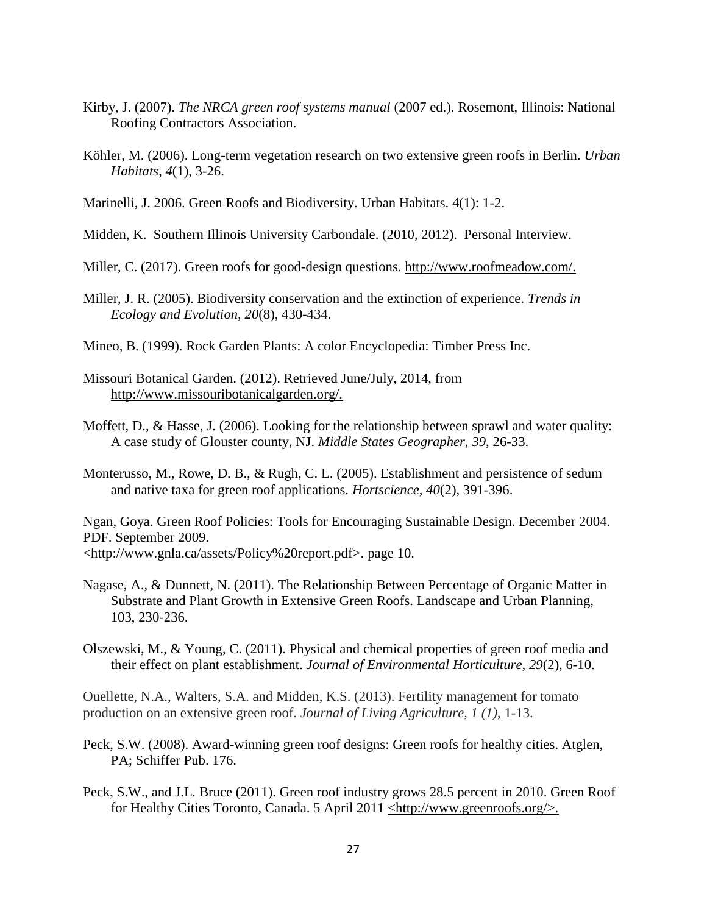- Kirby, J. (2007). *The NRCA green roof systems manual* (2007 ed.). Rosemont, Illinois: National Roofing Contractors Association.
- Köhler, M. (2006). Long-term vegetation research on two extensive green roofs in Berlin. *Urban Habitats*, *4*(1), 3-26.
- Marinelli, J. 2006. Green Roofs and Biodiversity. Urban Habitats. 4(1): 1-2.
- Midden, K. Southern Illinois University Carbondale. (2010, 2012). Personal Interview.
- Miller, C. (2017). Green roofs for good-design questions. http://www.roofmeadow.com/.
- Miller, J. R. (2005). Biodiversity conservation and the extinction of experience. *Trends in Ecology and Evolution, 20*(8), 430-434.
- Mineo, B. (1999). Rock Garden Plants: A color Encyclopedia: Timber Press Inc.
- Missouri Botanical Garden. (2012). Retrieved June/July, 2014, from http://www.missouribotanicalgarden.org/.
- Moffett, D., & Hasse, J. (2006). Looking for the relationship between sprawl and water quality: A case study of Glouster county, NJ. *Middle States Geographer, 39*, 26-33.
- Monterusso, M., Rowe, D. B., & Rugh, C. L. (2005). Establishment and persistence of sedum and native taxa for green roof applications. *Hortscience, 40*(2), 391-396.

Ngan, Goya. Green Roof Policies: Tools for Encouraging Sustainable Design. December 2004. PDF. September 2009.

<http://www.gnla.ca/assets/Policy%20report.pdf>. page 10.

- Nagase, A., & Dunnett, N. (2011). The Relationship Between Percentage of Organic Matter in Substrate and Plant Growth in Extensive Green Roofs. Landscape and Urban Planning, 103, 230-236.
- Olszewski, M., & Young, C. (2011). Physical and chemical properties of green roof media and their effect on plant establishment. *Journal of Environmental Horticulture, 29*(2), 6-10.

Ouellette, N.A., Walters, S.A. and Midden, K.S. (2013). Fertility management for tomato production on an extensive green roof. *Journal of Living Agriculture, 1 (1)*, 1-13.

- Peck, S.W. (2008). Award-winning green roof designs: Green roofs for healthy cities. Atglen, PA; Schiffer Pub. 176.
- Peck, S.W., and J.L. Bruce (2011). Green roof industry grows 28.5 percent in 2010. Green Roof for Healthy Cities Toronto, Canada. 5 April 2011  $\leq$ http://www.greenroofs.org/>.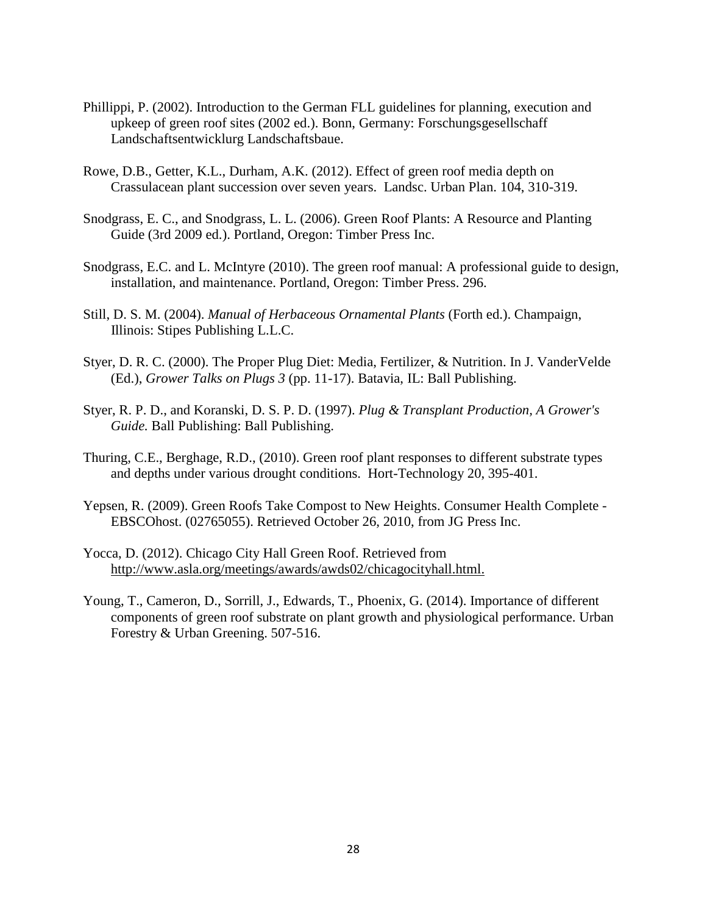- Phillippi, P. (2002). Introduction to the German FLL guidelines for planning, execution and upkeep of green roof sites (2002 ed.). Bonn, Germany: Forschungsgesellschaff Landschaftsentwicklurg Landschaftsbaue.
- Rowe, D.B., Getter, K.L., Durham, A.K. (2012). Effect of green roof media depth on Crassulacean plant succession over seven years. Landsc. Urban Plan. 104, 310-319.
- Snodgrass, E. C., and Snodgrass, L. L. (2006). Green Roof Plants: A Resource and Planting Guide (3rd 2009 ed.). Portland, Oregon: Timber Press Inc.
- Snodgrass, E.C. and L. McIntyre (2010). The green roof manual: A professional guide to design, installation, and maintenance. Portland, Oregon: Timber Press. 296.
- Still, D. S. M. (2004). *Manual of Herbaceous Ornamental Plants* (Forth ed.). Champaign, Illinois: Stipes Publishing L.L.C.
- Styer, D. R. C. (2000). The Proper Plug Diet: Media, Fertilizer, & Nutrition. In J. VanderVelde (Ed.), *Grower Talks on Plugs 3* (pp. 11-17). Batavia, IL: Ball Publishing.
- Styer, R. P. D., and Koranski, D. S. P. D. (1997). *Plug & Transplant Production, A Grower's Guide.* Ball Publishing: Ball Publishing.
- Thuring, C.E., Berghage, R.D., (2010). Green roof plant responses to different substrate types and depths under various drought conditions. Hort-Technology 20, 395-401.
- Yepsen, R. (2009). Green Roofs Take Compost to New Heights. Consumer Health Complete EBSCOhost. (02765055). Retrieved October 26, 2010, from JG Press Inc.
- Yocca, D. (2012). Chicago City Hall Green Roof. Retrieved from [http://www.asla.org/meetings/awards/awds02/chicagocityhall.html.](http://www.asla.org/meetings/awards/awds02/chicagocityhall.html)
- Young, T., Cameron, D., Sorrill, J., Edwards, T., Phoenix, G. (2014). Importance of different components of green roof substrate on plant growth and physiological performance. Urban Forestry & Urban Greening. 507-516.